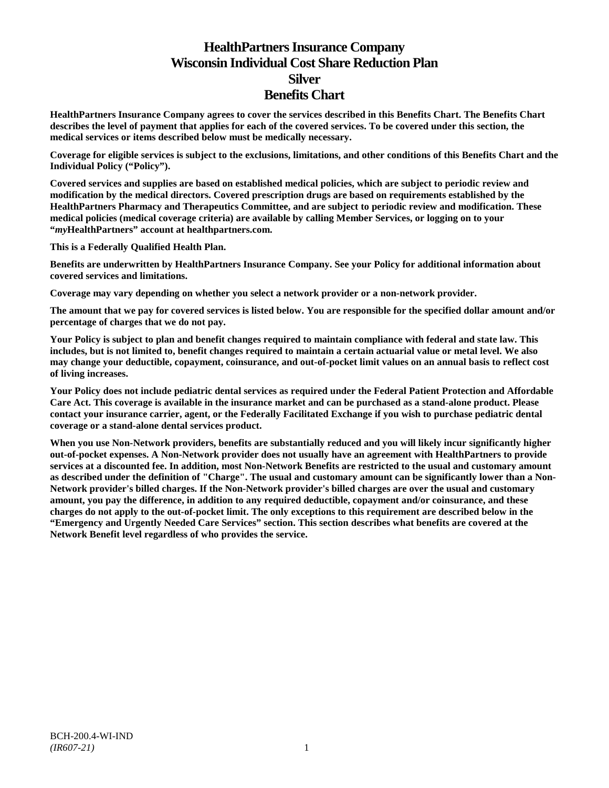# **HealthPartners Insurance Company Wisconsin Individual Cost Share Reduction Plan Silver Benefits Chart**

**HealthPartners Insurance Company agrees to cover the services described in this Benefits Chart. The Benefits Chart describes the level of payment that applies for each of the covered services. To be covered under this section, the medical services or items described below must be medically necessary.**

**Coverage for eligible services is subject to the exclusions, limitations, and other conditions of this Benefits Chart and the Individual Policy ("Policy").**

**Covered services and supplies are based on established medical policies, which are subject to periodic review and modification by the medical directors. Covered prescription drugs are based on requirements established by the HealthPartners Pharmacy and Therapeutics Committee, and are subject to periodic review and modification. These medical policies (medical coverage criteria) are available by calling Member Services, or logging on to your "***my***HealthPartners" account at [healthpartners.com.](http://www.healthpartners.com/)**

**This is a Federally Qualified Health Plan.**

**Benefits are underwritten by HealthPartners Insurance Company. See your Policy for additional information about covered services and limitations.**

**Coverage may vary depending on whether you select a network provider or a non-network provider.**

**The amount that we pay for covered services is listed below. You are responsible for the specified dollar amount and/or percentage of charges that we do not pay.**

**Your Policy is subject to plan and benefit changes required to maintain compliance with federal and state law. This includes, but is not limited to, benefit changes required to maintain a certain actuarial value or metal level. We also may change your deductible, copayment, coinsurance, and out-of-pocket limit values on an annual basis to reflect cost of living increases.**

**Your Policy does not include pediatric dental services as required under the Federal Patient Protection and Affordable Care Act. This coverage is available in the insurance market and can be purchased as a stand-alone product. Please contact your insurance carrier, agent, or the Federally Facilitated Exchange if you wish to purchase pediatric dental coverage or a stand-alone dental services product.**

**When you use Non-Network providers, benefits are substantially reduced and you will likely incur significantly higher out-of-pocket expenses. A Non-Network provider does not usually have an agreement with HealthPartners to provide services at a discounted fee. In addition, most Non-Network Benefits are restricted to the usual and customary amount as described under the definition of "Charge". The usual and customary amount can be significantly lower than a Non-Network provider's billed charges. If the Non-Network provider's billed charges are over the usual and customary amount, you pay the difference, in addition to any required deductible, copayment and/or coinsurance, and these charges do not apply to the out-of-pocket limit. The only exceptions to this requirement are described below in the "Emergency and Urgently Needed Care Services" section. This section describes what benefits are covered at the Network Benefit level regardless of who provides the service.**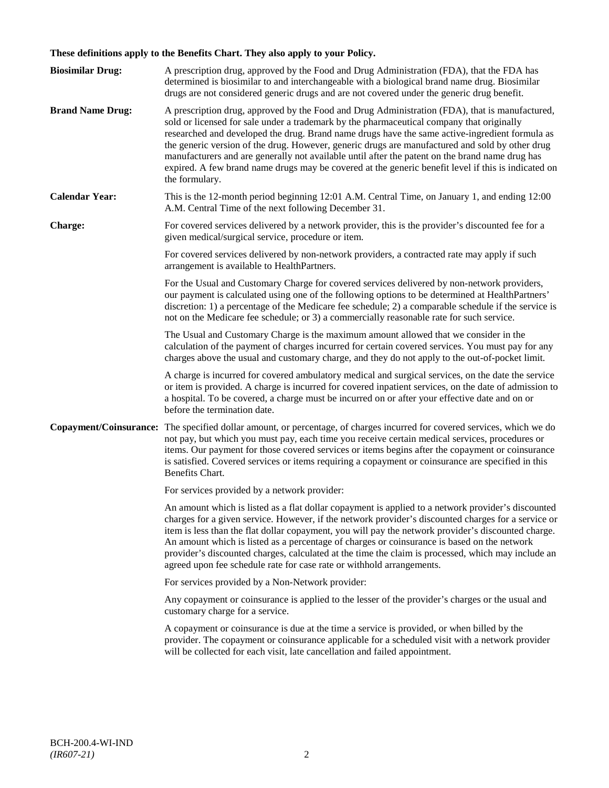# **These definitions apply to the Benefits Chart. They also apply to your Policy.**

| <b>Biosimilar Drug:</b> | A prescription drug, approved by the Food and Drug Administration (FDA), that the FDA has<br>determined is biosimilar to and interchangeable with a biological brand name drug. Biosimilar<br>drugs are not considered generic drugs and are not covered under the generic drug benefit.                                                                                                                                                                                                                                                                                                                                     |
|-------------------------|------------------------------------------------------------------------------------------------------------------------------------------------------------------------------------------------------------------------------------------------------------------------------------------------------------------------------------------------------------------------------------------------------------------------------------------------------------------------------------------------------------------------------------------------------------------------------------------------------------------------------|
| <b>Brand Name Drug:</b> | A prescription drug, approved by the Food and Drug Administration (FDA), that is manufactured,<br>sold or licensed for sale under a trademark by the pharmaceutical company that originally<br>researched and developed the drug. Brand name drugs have the same active-ingredient formula as<br>the generic version of the drug. However, generic drugs are manufactured and sold by other drug<br>manufacturers and are generally not available until after the patent on the brand name drug has<br>expired. A few brand name drugs may be covered at the generic benefit level if this is indicated on<br>the formulary. |
| <b>Calendar Year:</b>   | This is the 12-month period beginning 12:01 A.M. Central Time, on January 1, and ending 12:00<br>A.M. Central Time of the next following December 31.                                                                                                                                                                                                                                                                                                                                                                                                                                                                        |
| Charge:                 | For covered services delivered by a network provider, this is the provider's discounted fee for a<br>given medical/surgical service, procedure or item.                                                                                                                                                                                                                                                                                                                                                                                                                                                                      |
|                         | For covered services delivered by non-network providers, a contracted rate may apply if such<br>arrangement is available to HealthPartners.                                                                                                                                                                                                                                                                                                                                                                                                                                                                                  |
|                         | For the Usual and Customary Charge for covered services delivered by non-network providers,<br>our payment is calculated using one of the following options to be determined at HealthPartners'<br>discretion: 1) a percentage of the Medicare fee schedule; 2) a comparable schedule if the service is<br>not on the Medicare fee schedule; or 3) a commercially reasonable rate for such service.                                                                                                                                                                                                                          |
|                         | The Usual and Customary Charge is the maximum amount allowed that we consider in the<br>calculation of the payment of charges incurred for certain covered services. You must pay for any<br>charges above the usual and customary charge, and they do not apply to the out-of-pocket limit.                                                                                                                                                                                                                                                                                                                                 |
|                         | A charge is incurred for covered ambulatory medical and surgical services, on the date the service<br>or item is provided. A charge is incurred for covered inpatient services, on the date of admission to<br>a hospital. To be covered, a charge must be incurred on or after your effective date and on or<br>before the termination date.                                                                                                                                                                                                                                                                                |
| Copayment/Coinsurance:  | The specified dollar amount, or percentage, of charges incurred for covered services, which we do<br>not pay, but which you must pay, each time you receive certain medical services, procedures or<br>items. Our payment for those covered services or items begins after the copayment or coinsurance<br>is satisfied. Covered services or items requiring a copayment or coinsurance are specified in this<br>Benefits Chart.                                                                                                                                                                                             |
|                         | For services provided by a network provider:                                                                                                                                                                                                                                                                                                                                                                                                                                                                                                                                                                                 |
|                         | An amount which is listed as a flat dollar copayment is applied to a network provider's discounted<br>charges for a given service. However, if the network provider's discounted charges for a service or<br>item is less than the flat dollar copayment, you will pay the network provider's discounted charge.<br>An amount which is listed as a percentage of charges or coinsurance is based on the network<br>provider's discounted charges, calculated at the time the claim is processed, which may include an<br>agreed upon fee schedule rate for case rate or withhold arrangements.                               |
|                         | For services provided by a Non-Network provider:                                                                                                                                                                                                                                                                                                                                                                                                                                                                                                                                                                             |
|                         | Any copayment or coinsurance is applied to the lesser of the provider's charges or the usual and<br>customary charge for a service.                                                                                                                                                                                                                                                                                                                                                                                                                                                                                          |
|                         | A copayment or coinsurance is due at the time a service is provided, or when billed by the<br>provider. The copayment or coinsurance applicable for a scheduled visit with a network provider<br>will be collected for each visit, late cancellation and failed appointment.                                                                                                                                                                                                                                                                                                                                                 |
|                         |                                                                                                                                                                                                                                                                                                                                                                                                                                                                                                                                                                                                                              |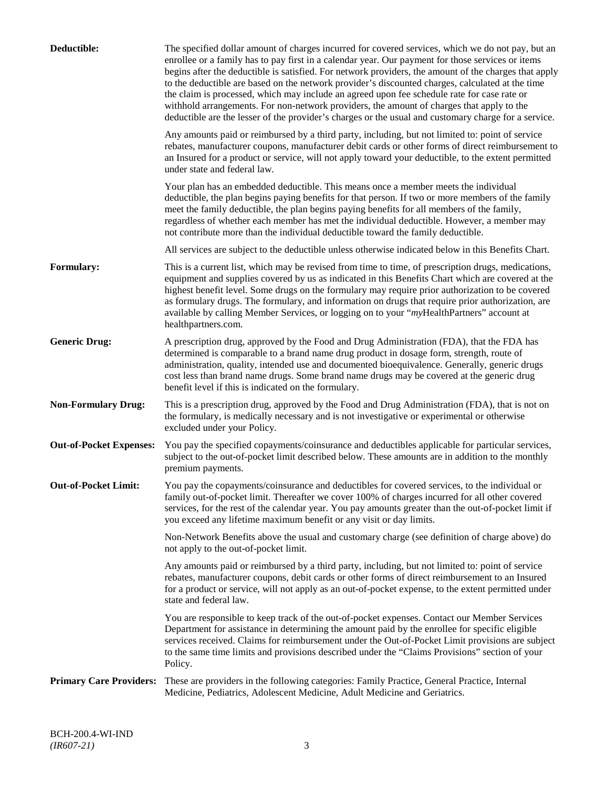| Deductible:                    | The specified dollar amount of charges incurred for covered services, which we do not pay, but an<br>enrollee or a family has to pay first in a calendar year. Our payment for those services or items<br>begins after the deductible is satisfied. For network providers, the amount of the charges that apply<br>to the deductible are based on the network provider's discounted charges, calculated at the time<br>the claim is processed, which may include an agreed upon fee schedule rate for case rate or<br>withhold arrangements. For non-network providers, the amount of charges that apply to the<br>deductible are the lesser of the provider's charges or the usual and customary charge for a service. |
|--------------------------------|-------------------------------------------------------------------------------------------------------------------------------------------------------------------------------------------------------------------------------------------------------------------------------------------------------------------------------------------------------------------------------------------------------------------------------------------------------------------------------------------------------------------------------------------------------------------------------------------------------------------------------------------------------------------------------------------------------------------------|
|                                | Any amounts paid or reimbursed by a third party, including, but not limited to: point of service<br>rebates, manufacturer coupons, manufacturer debit cards or other forms of direct reimbursement to<br>an Insured for a product or service, will not apply toward your deductible, to the extent permitted<br>under state and federal law.                                                                                                                                                                                                                                                                                                                                                                            |
|                                | Your plan has an embedded deductible. This means once a member meets the individual<br>deductible, the plan begins paying benefits for that person. If two or more members of the family<br>meet the family deductible, the plan begins paying benefits for all members of the family,<br>regardless of whether each member has met the individual deductible. However, a member may<br>not contribute more than the individual deductible toward the family deductible.                                                                                                                                                                                                                                                |
|                                | All services are subject to the deductible unless otherwise indicated below in this Benefits Chart.                                                                                                                                                                                                                                                                                                                                                                                                                                                                                                                                                                                                                     |
| <b>Formulary:</b>              | This is a current list, which may be revised from time to time, of prescription drugs, medications,<br>equipment and supplies covered by us as indicated in this Benefits Chart which are covered at the<br>highest benefit level. Some drugs on the formulary may require prior authorization to be covered<br>as formulary drugs. The formulary, and information on drugs that require prior authorization, are<br>available by calling Member Services, or logging on to your "myHealthPartners" account at<br>healthpartners.com.                                                                                                                                                                                   |
| <b>Generic Drug:</b>           | A prescription drug, approved by the Food and Drug Administration (FDA), that the FDA has<br>determined is comparable to a brand name drug product in dosage form, strength, route of<br>administration, quality, intended use and documented bioequivalence. Generally, generic drugs<br>cost less than brand name drugs. Some brand name drugs may be covered at the generic drug<br>benefit level if this is indicated on the formulary.                                                                                                                                                                                                                                                                             |
| <b>Non-Formulary Drug:</b>     | This is a prescription drug, approved by the Food and Drug Administration (FDA), that is not on<br>the formulary, is medically necessary and is not investigative or experimental or otherwise<br>excluded under your Policy.                                                                                                                                                                                                                                                                                                                                                                                                                                                                                           |
| <b>Out-of-Pocket Expenses:</b> | You pay the specified copayments/coinsurance and deductibles applicable for particular services,<br>subject to the out-of-pocket limit described below. These amounts are in addition to the monthly<br>premium payments.                                                                                                                                                                                                                                                                                                                                                                                                                                                                                               |
| <b>Out-of-Pocket Limit:</b>    | You pay the copayments/coinsurance and deductibles for covered services, to the individual or<br>family out-of-pocket limit. Thereafter we cover 100% of charges incurred for all other covered<br>services, for the rest of the calendar year. You pay amounts greater than the out-of-pocket limit if<br>you exceed any lifetime maximum benefit or any visit or day limits.                                                                                                                                                                                                                                                                                                                                          |
|                                | Non-Network Benefits above the usual and customary charge (see definition of charge above) do<br>not apply to the out-of-pocket limit.                                                                                                                                                                                                                                                                                                                                                                                                                                                                                                                                                                                  |
|                                | Any amounts paid or reimbursed by a third party, including, but not limited to: point of service<br>rebates, manufacturer coupons, debit cards or other forms of direct reimbursement to an Insured<br>for a product or service, will not apply as an out-of-pocket expense, to the extent permitted under<br>state and federal law.                                                                                                                                                                                                                                                                                                                                                                                    |
|                                | You are responsible to keep track of the out-of-pocket expenses. Contact our Member Services<br>Department for assistance in determining the amount paid by the enrollee for specific eligible<br>services received. Claims for reimbursement under the Out-of-Pocket Limit provisions are subject<br>to the same time limits and provisions described under the "Claims Provisions" section of your<br>Policy.                                                                                                                                                                                                                                                                                                         |
| <b>Primary Care Providers:</b> | These are providers in the following categories: Family Practice, General Practice, Internal<br>Medicine, Pediatrics, Adolescent Medicine, Adult Medicine and Geriatrics.                                                                                                                                                                                                                                                                                                                                                                                                                                                                                                                                               |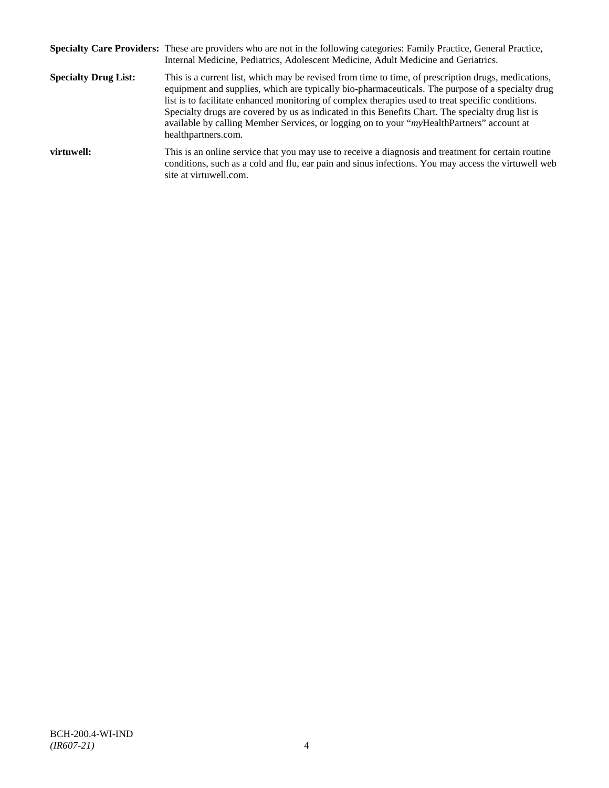|                             | Specialty Care Providers: These are providers who are not in the following categories: Family Practice, General Practice,<br>Internal Medicine, Pediatrics, Adolescent Medicine, Adult Medicine and Geriatrics.                                                                                                                                                                                                                                                                                                                       |
|-----------------------------|---------------------------------------------------------------------------------------------------------------------------------------------------------------------------------------------------------------------------------------------------------------------------------------------------------------------------------------------------------------------------------------------------------------------------------------------------------------------------------------------------------------------------------------|
| <b>Specialty Drug List:</b> | This is a current list, which may be revised from time to time, of prescription drugs, medications,<br>equipment and supplies, which are typically bio-pharmaceuticals. The purpose of a specialty drug<br>list is to facilitate enhanced monitoring of complex therapies used to treat specific conditions.<br>Specialty drugs are covered by us as indicated in this Benefits Chart. The specialty drug list is<br>available by calling Member Services, or logging on to your "myHealthPartners" account at<br>healthpartners.com. |
| virtuwell:                  | This is an online service that you may use to receive a diagnosis and treatment for certain routine<br>conditions, such as a cold and flu, ear pain and sinus infections. You may access the virtuwell web<br>site at virtuwell.com.                                                                                                                                                                                                                                                                                                  |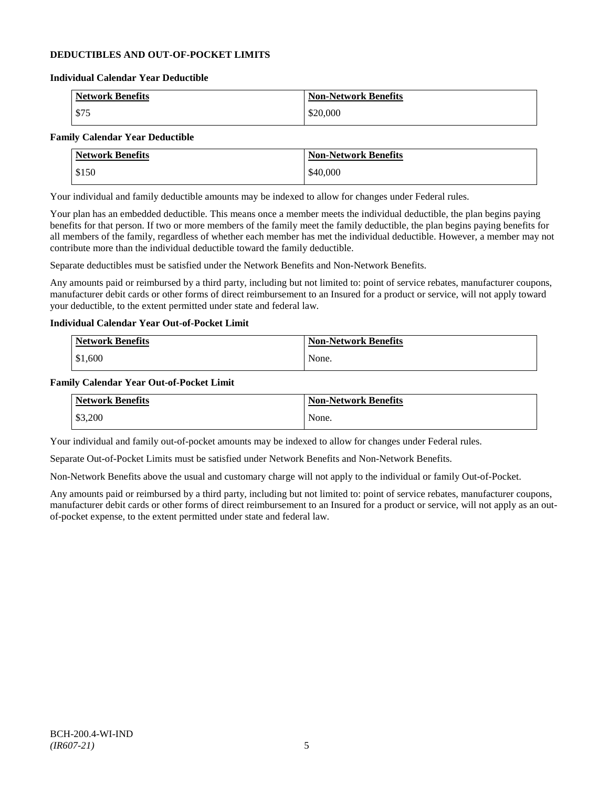# **DEDUCTIBLES AND OUT-OF-POCKET LIMITS**

#### **Individual Calendar Year Deductible**

| <b>Network Benefits</b> | <b>Non-Network Benefits</b> |
|-------------------------|-----------------------------|
| \$75                    | \$20,000                    |

# **Family Calendar Year Deductible**

| <b>Network Benefits</b> | <b>Non-Network Benefits</b> |
|-------------------------|-----------------------------|
| \$150                   | \$40,000                    |

Your individual and family deductible amounts may be indexed to allow for changes under Federal rules.

Your plan has an embedded deductible. This means once a member meets the individual deductible, the plan begins paying benefits for that person. If two or more members of the family meet the family deductible, the plan begins paying benefits for all members of the family, regardless of whether each member has met the individual deductible. However, a member may not contribute more than the individual deductible toward the family deductible.

Separate deductibles must be satisfied under the Network Benefits and Non-Network Benefits.

Any amounts paid or reimbursed by a third party, including but not limited to: point of service rebates, manufacturer coupons, manufacturer debit cards or other forms of direct reimbursement to an Insured for a product or service, will not apply toward your deductible, to the extent permitted under state and federal law.

# **Individual Calendar Year Out-of-Pocket Limit**

| Network Benefits | <b>Non-Network Benefits</b> |
|------------------|-----------------------------|
| \$1,600          | None.                       |

### **Family Calendar Year Out-of-Pocket Limit**

| <b>Network Benefits</b> | <b>Non-Network Benefits</b> |
|-------------------------|-----------------------------|
| \$3,200                 | None.                       |

Your individual and family out-of-pocket amounts may be indexed to allow for changes under Federal rules.

Separate Out-of-Pocket Limits must be satisfied under Network Benefits and Non-Network Benefits.

Non-Network Benefits above the usual and customary charge will not apply to the individual or family Out-of-Pocket.

Any amounts paid or reimbursed by a third party, including but not limited to: point of service rebates, manufacturer coupons, manufacturer debit cards or other forms of direct reimbursement to an Insured for a product or service, will not apply as an outof-pocket expense, to the extent permitted under state and federal law.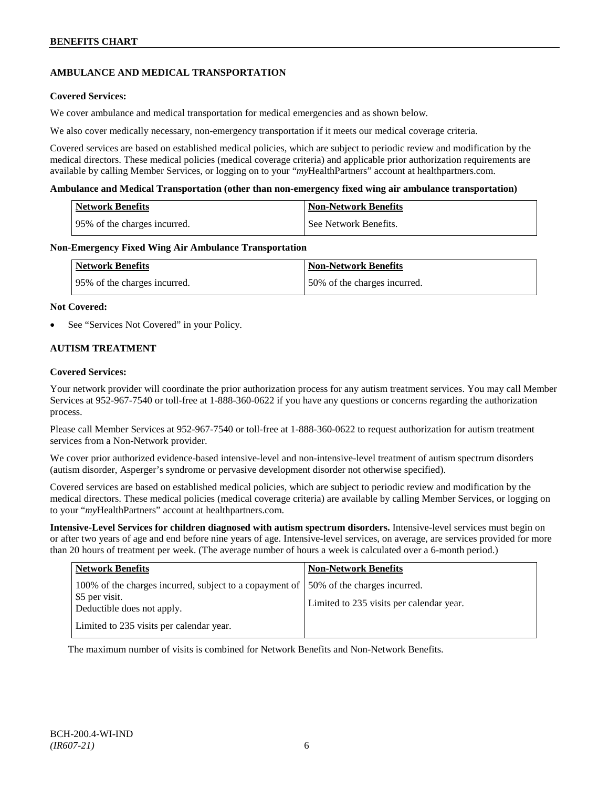# **AMBULANCE AND MEDICAL TRANSPORTATION**

# **Covered Services:**

We cover ambulance and medical transportation for medical emergencies and as shown below.

We also cover medically necessary, non-emergency transportation if it meets our medical coverage criteria.

Covered services are based on established medical policies, which are subject to periodic review and modification by the medical directors. These medical policies (medical coverage criteria) and applicable prior authorization requirements are available by calling Member Services, or logging on to your "*my*HealthPartners" account a[t healthpartners.com.](http://www.healthpartners.com/)

### **Ambulance and Medical Transportation (other than non-emergency fixed wing air ambulance transportation)**

| Network Benefits             | <b>Non-Network Benefits</b> |
|------------------------------|-----------------------------|
| 95% of the charges incurred. | See Network Benefits.       |

### **Non-Emergency Fixed Wing Air Ambulance Transportation**

| <b>Network Benefits</b>      | <b>Non-Network Benefits</b>  |
|------------------------------|------------------------------|
| 95% of the charges incurred. | 50% of the charges incurred. |

### **Not Covered:**

See "Services Not Covered" in your Policy.

# **AUTISM TREATMENT**

### **Covered Services:**

Your network provider will coordinate the prior authorization process for any autism treatment services. You may call Member Services at 952-967-7540 or toll-free at 1-888-360-0622 if you have any questions or concerns regarding the authorization process.

Please call Member Services at 952-967-7540 or toll-free at 1-888-360-0622 to request authorization for autism treatment services from a Non-Network provider.

We cover prior authorized evidence-based intensive-level and non-intensive-level treatment of autism spectrum disorders (autism disorder, Asperger's syndrome or pervasive development disorder not otherwise specified).

Covered services are based on established medical policies, which are subject to periodic review and modification by the medical directors. These medical policies (medical coverage criteria) are available by calling Member Services, or logging on to your "*my*HealthPartners" account at [healthpartners.com.](http://www.healthpartners.com/)

**Intensive-Level Services for children diagnosed with autism spectrum disorders.** Intensive-level services must begin on or after two years of age and end before nine years of age. Intensive-level services, on average, are services provided for more than 20 hours of treatment per week. (The average number of hours a week is calculated over a 6-month period.)

| <b>Network Benefits</b>                                                                                   | <b>Non-Network Benefits</b>                                              |
|-----------------------------------------------------------------------------------------------------------|--------------------------------------------------------------------------|
| 100% of the charges incurred, subject to a copayment of  <br>\$5 per visit.<br>Deductible does not apply. | 50% of the charges incurred.<br>Limited to 235 visits per calendar year. |
| Limited to 235 visits per calendar year.                                                                  |                                                                          |

The maximum number of visits is combined for Network Benefits and Non-Network Benefits.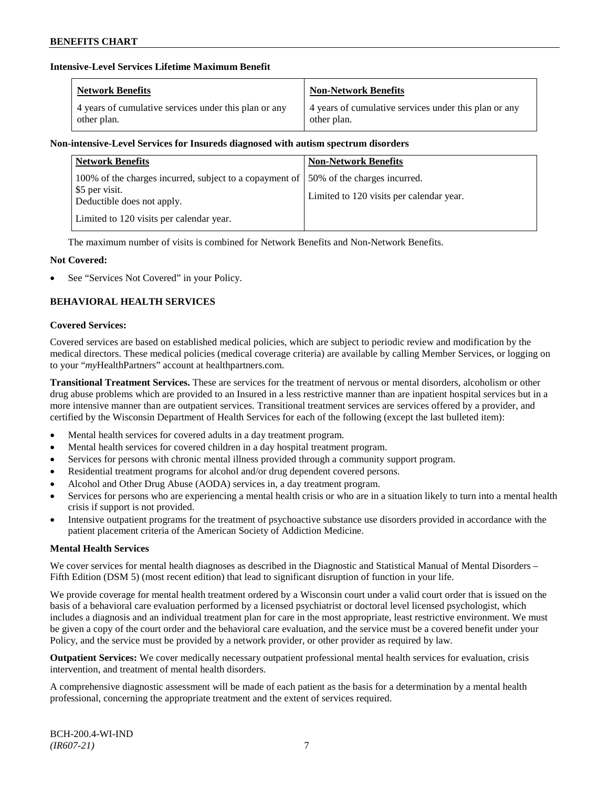# **Intensive-Level Services Lifetime Maximum Benefit**

| <b>Network Benefits</b>                               | <b>Non-Network Benefits</b>                           |
|-------------------------------------------------------|-------------------------------------------------------|
| 4 years of cumulative services under this plan or any | 4 years of cumulative services under this plan or any |
| other plan.                                           | other plan.                                           |

# **Non-intensive-Level Services for Insureds diagnosed with autism spectrum disorders**

| <b>Network Benefits</b>                                                                                   | <b>Non-Network Benefits</b>                                              |
|-----------------------------------------------------------------------------------------------------------|--------------------------------------------------------------------------|
| 100% of the charges incurred, subject to a copayment of  <br>\$5 per visit.<br>Deductible does not apply. | 50% of the charges incurred.<br>Limited to 120 visits per calendar year. |
| Limited to 120 visits per calendar year.                                                                  |                                                                          |

The maximum number of visits is combined for Network Benefits and Non-Network Benefits.

# **Not Covered:**

See "Services Not Covered" in your Policy.

# **BEHAVIORAL HEALTH SERVICES**

### **Covered Services:**

Covered services are based on established medical policies, which are subject to periodic review and modification by the medical directors. These medical policies (medical coverage criteria) are available by calling Member Services, or logging on to your "*my*HealthPartners" account at [healthpartners.com.](http://www.healthpartners.com/)

**Transitional Treatment Services.** These are services for the treatment of nervous or mental disorders, alcoholism or other drug abuse problems which are provided to an Insured in a less restrictive manner than are inpatient hospital services but in a more intensive manner than are outpatient services. Transitional treatment services are services offered by a provider, and certified by the Wisconsin Department of Health Services for each of the following (except the last bulleted item):

- Mental health services for covered adults in a day treatment program.
- Mental health services for covered children in a day hospital treatment program.
- Services for persons with chronic mental illness provided through a community support program.
- Residential treatment programs for alcohol and/or drug dependent covered persons.
- Alcohol and Other Drug Abuse (AODA) services in, a day treatment program.
- Services for persons who are experiencing a mental health crisis or who are in a situation likely to turn into a mental health crisis if support is not provided.
- Intensive outpatient programs for the treatment of psychoactive substance use disorders provided in accordance with the patient placement criteria of the American Society of Addiction Medicine.

# **Mental Health Services**

We cover services for mental health diagnoses as described in the Diagnostic and Statistical Manual of Mental Disorders – Fifth Edition (DSM 5) (most recent edition) that lead to significant disruption of function in your life.

We provide coverage for mental health treatment ordered by a Wisconsin court under a valid court order that is issued on the basis of a behavioral care evaluation performed by a licensed psychiatrist or doctoral level licensed psychologist, which includes a diagnosis and an individual treatment plan for care in the most appropriate, least restrictive environment. We must be given a copy of the court order and the behavioral care evaluation, and the service must be a covered benefit under your Policy, and the service must be provided by a network provider, or other provider as required by law.

**Outpatient Services:** We cover medically necessary outpatient professional mental health services for evaluation, crisis intervention, and treatment of mental health disorders.

A comprehensive diagnostic assessment will be made of each patient as the basis for a determination by a mental health professional, concerning the appropriate treatment and the extent of services required.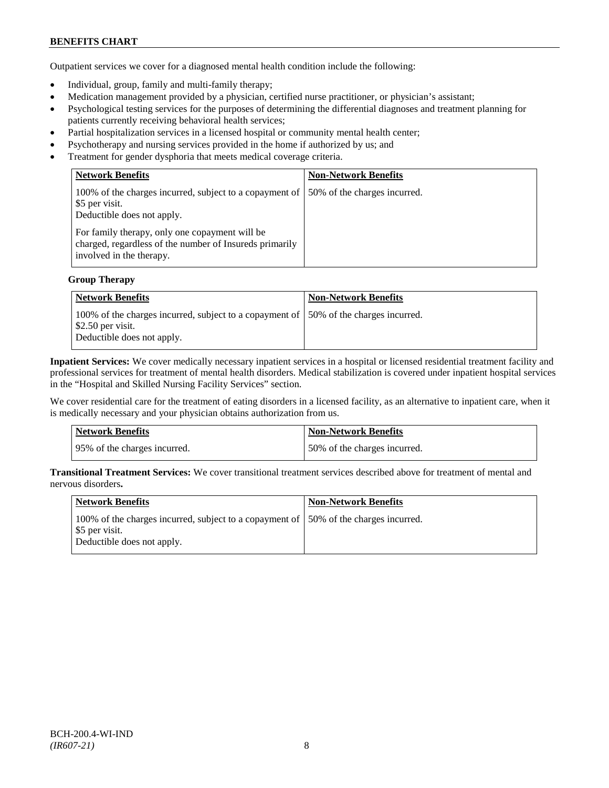Outpatient services we cover for a diagnosed mental health condition include the following:

- Individual, group, family and multi-family therapy;
- Medication management provided by a physician, certified nurse practitioner, or physician's assistant;
- Psychological testing services for the purposes of determining the differential diagnoses and treatment planning for patients currently receiving behavioral health services;
- Partial hospitalization services in a licensed hospital or community mental health center;
- Psychotherapy and nursing services provided in the home if authorized by us; and
- Treatment for gender dysphoria that meets medical coverage criteria.

| <b>Network Benefits</b>                                                                                                               | <b>Non-Network Benefits</b>  |
|---------------------------------------------------------------------------------------------------------------------------------------|------------------------------|
| 100% of the charges incurred, subject to a copayment of<br>\$5 per visit.<br>Deductible does not apply.                               | 50% of the charges incurred. |
| For family therapy, only one copayment will be<br>charged, regardless of the number of Insureds primarily<br>involved in the therapy. |                              |

#### **Group Therapy**

| Network Benefits                                                                                                                            | <b>Non-Network Benefits</b> |
|---------------------------------------------------------------------------------------------------------------------------------------------|-----------------------------|
| 100% of the charges incurred, subject to a copayment of 50% of the charges incurred.<br>$\$\,2.50$ per visit.<br>Deductible does not apply. |                             |

**Inpatient Services:** We cover medically necessary inpatient services in a hospital or licensed residential treatment facility and professional services for treatment of mental health disorders. Medical stabilization is covered under inpatient hospital services in the "Hospital and Skilled Nursing Facility Services" section.

We cover residential care for the treatment of eating disorders in a licensed facility, as an alternative to inpatient care, when it is medically necessary and your physician obtains authorization from us.

| <b>Network Benefits</b>      | <b>Non-Network Benefits</b>  |
|------------------------------|------------------------------|
| 95% of the charges incurred. | 50% of the charges incurred. |

**Transitional Treatment Services:** We cover transitional treatment services described above for treatment of mental and nervous disorders**.**

| Network Benefits                                                                                                                      | <b>Non-Network Benefits</b> |
|---------------------------------------------------------------------------------------------------------------------------------------|-----------------------------|
| 100% of the charges incurred, subject to a copayment of 150% of the charges incurred.<br>\$5 per visit.<br>Deductible does not apply. |                             |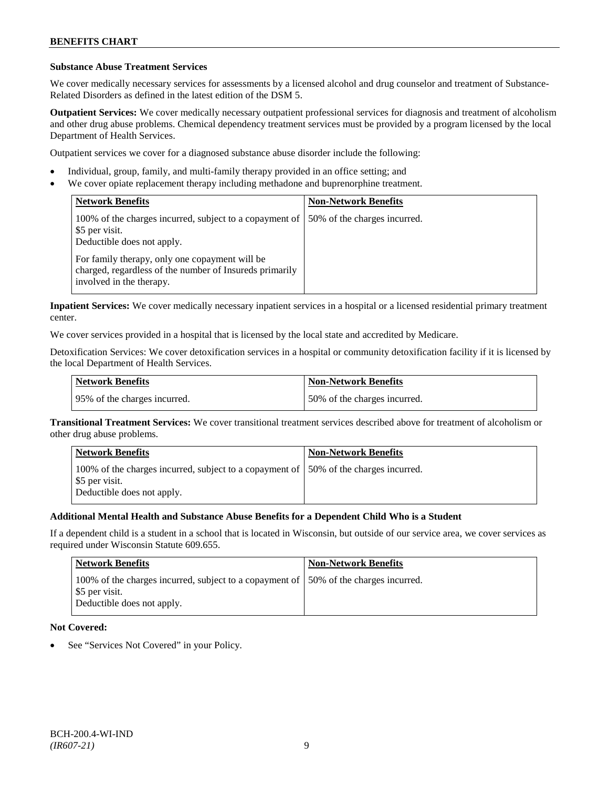### **Substance Abuse Treatment Services**

We cover medically necessary services for assessments by a licensed alcohol and drug counselor and treatment of Substance-Related Disorders as defined in the latest edition of the DSM 5.

**Outpatient Services:** We cover medically necessary outpatient professional services for diagnosis and treatment of alcoholism and other drug abuse problems. Chemical dependency treatment services must be provided by a program licensed by the local Department of Health Services.

Outpatient services we cover for a diagnosed substance abuse disorder include the following:

- Individual, group, family, and multi-family therapy provided in an office setting; and
- We cover opiate replacement therapy including methadone and buprenorphine treatment.

| <b>Network Benefits</b>                                                                                                               | <b>Non-Network Benefits</b>  |
|---------------------------------------------------------------------------------------------------------------------------------------|------------------------------|
| 100% of the charges incurred, subject to a copayment of<br>\$5 per visit.<br>Deductible does not apply.                               | 50% of the charges incurred. |
| For family therapy, only one copayment will be<br>charged, regardless of the number of Insureds primarily<br>involved in the therapy. |                              |

**Inpatient Services:** We cover medically necessary inpatient services in a hospital or a licensed residential primary treatment center.

We cover services provided in a hospital that is licensed by the local state and accredited by Medicare.

Detoxification Services: We cover detoxification services in a hospital or community detoxification facility if it is licensed by the local Department of Health Services.

| <b>Network Benefits</b>      | <b>Non-Network Benefits</b>  |
|------------------------------|------------------------------|
| 95% of the charges incurred. | 50% of the charges incurred. |

**Transitional Treatment Services:** We cover transitional treatment services described above for treatment of alcoholism or other drug abuse problems.

| <b>Network Benefits</b>                                                                                                               | <b>Non-Network Benefits</b> |
|---------------------------------------------------------------------------------------------------------------------------------------|-----------------------------|
| 100% of the charges incurred, subject to a copayment of 150% of the charges incurred.<br>\$5 per visit.<br>Deductible does not apply. |                             |

# **Additional Mental Health and Substance Abuse Benefits for a Dependent Child Who is a Student**

If a dependent child is a student in a school that is located in Wisconsin, but outside of our service area, we cover services as required under Wisconsin Statute 609.655.

| <b>Network Benefits</b>                                                                                                               | <b>Non-Network Benefits</b> |
|---------------------------------------------------------------------------------------------------------------------------------------|-----------------------------|
| 100% of the charges incurred, subject to a copayment of 150% of the charges incurred.<br>\$5 per visit.<br>Deductible does not apply. |                             |

# **Not Covered:**

See "Services Not Covered" in your Policy.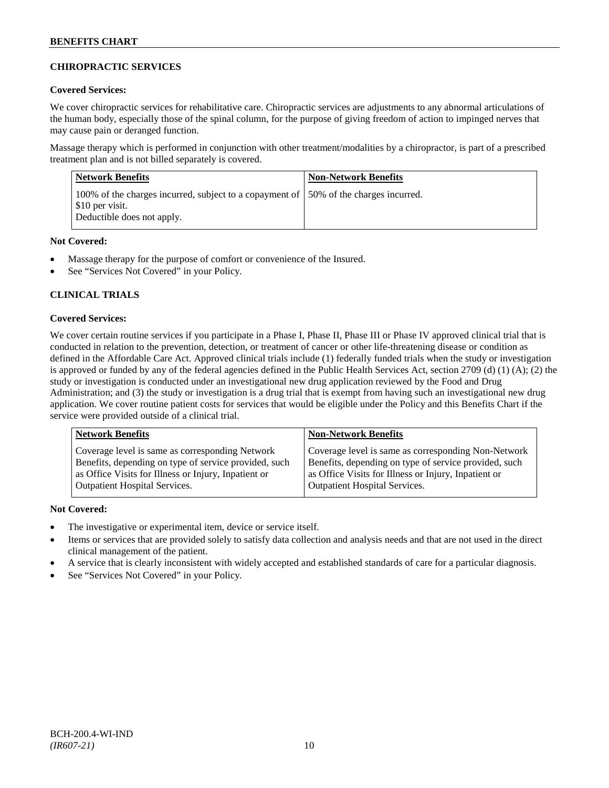# **CHIROPRACTIC SERVICES**

# **Covered Services:**

We cover chiropractic services for rehabilitative care. Chiropractic services are adjustments to any abnormal articulations of the human body, especially those of the spinal column, for the purpose of giving freedom of action to impinged nerves that may cause pain or deranged function.

Massage therapy which is performed in conjunction with other treatment/modalities by a chiropractor, is part of a prescribed treatment plan and is not billed separately is covered.

| <b>Network Benefits</b>                                                                                                                | <b>Non-Network Benefits</b> |
|----------------------------------------------------------------------------------------------------------------------------------------|-----------------------------|
| 100% of the charges incurred, subject to a copayment of 150% of the charges incurred.<br>\$10 per visit.<br>Deductible does not apply. |                             |

# **Not Covered:**

- Massage therapy for the purpose of comfort or convenience of the Insured.
- See "Services Not Covered" in your Policy.

# **CLINICAL TRIALS**

# **Covered Services:**

We cover certain routine services if you participate in a Phase I, Phase II, Phase III or Phase IV approved clinical trial that is conducted in relation to the prevention, detection, or treatment of cancer or other life-threatening disease or condition as defined in the Affordable Care Act. Approved clinical trials include (1) federally funded trials when the study or investigation is approved or funded by any of the federal agencies defined in the Public Health Services Act, section 2709 (d) (1) (A); (2) the study or investigation is conducted under an investigational new drug application reviewed by the Food and Drug Administration; and (3) the study or investigation is a drug trial that is exempt from having such an investigational new drug application. We cover routine patient costs for services that would be eligible under the Policy and this Benefits Chart if the service were provided outside of a clinical trial.

| <b>Network Benefits</b>                               | <b>Non-Network Benefits</b>                           |
|-------------------------------------------------------|-------------------------------------------------------|
| Coverage level is same as corresponding Network       | Coverage level is same as corresponding Non-Network   |
| Benefits, depending on type of service provided, such | Benefits, depending on type of service provided, such |
| as Office Visits for Illness or Injury, Inpatient or  | as Office Visits for Illness or Injury, Inpatient or  |
| <b>Outpatient Hospital Services.</b>                  | <b>Outpatient Hospital Services.</b>                  |

# **Not Covered:**

- The investigative or experimental item, device or service itself.
- Items or services that are provided solely to satisfy data collection and analysis needs and that are not used in the direct clinical management of the patient.
- A service that is clearly inconsistent with widely accepted and established standards of care for a particular diagnosis.
- See "Services Not Covered" in your Policy.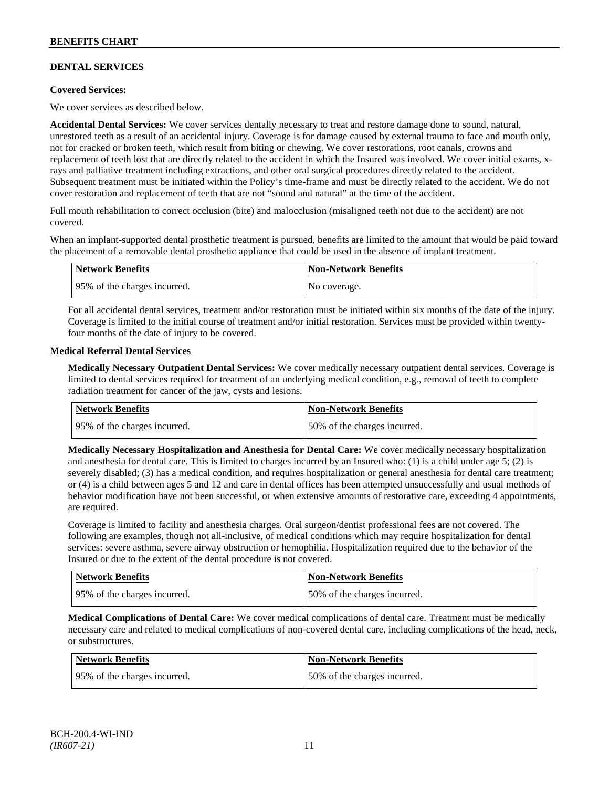# **DENTAL SERVICES**

# **Covered Services:**

We cover services as described below.

**Accidental Dental Services:** We cover services dentally necessary to treat and restore damage done to sound, natural, unrestored teeth as a result of an accidental injury. Coverage is for damage caused by external trauma to face and mouth only, not for cracked or broken teeth, which result from biting or chewing. We cover restorations, root canals, crowns and replacement of teeth lost that are directly related to the accident in which the Insured was involved. We cover initial exams, xrays and palliative treatment including extractions, and other oral surgical procedures directly related to the accident. Subsequent treatment must be initiated within the Policy's time-frame and must be directly related to the accident. We do not cover restoration and replacement of teeth that are not "sound and natural" at the time of the accident.

Full mouth rehabilitation to correct occlusion (bite) and malocclusion (misaligned teeth not due to the accident) are not covered.

When an implant-supported dental prosthetic treatment is pursued, benefits are limited to the amount that would be paid toward the placement of a removable dental prosthetic appliance that could be used in the absence of implant treatment.

| Network Benefits             | <b>Non-Network Benefits</b> |
|------------------------------|-----------------------------|
| 95% of the charges incurred. | No coverage.                |

For all accidental dental services, treatment and/or restoration must be initiated within six months of the date of the injury. Coverage is limited to the initial course of treatment and/or initial restoration. Services must be provided within twentyfour months of the date of injury to be covered.

### **Medical Referral Dental Services**

**Medically Necessary Outpatient Dental Services:** We cover medically necessary outpatient dental services. Coverage is limited to dental services required for treatment of an underlying medical condition, e.g., removal of teeth to complete radiation treatment for cancer of the jaw, cysts and lesions.

| Network Benefits             | <b>Non-Network Benefits</b>  |
|------------------------------|------------------------------|
| 95% of the charges incurred. | 50% of the charges incurred. |

**Medically Necessary Hospitalization and Anesthesia for Dental Care:** We cover medically necessary hospitalization and anesthesia for dental care. This is limited to charges incurred by an Insured who: (1) is a child under age  $5$ ; (2) is severely disabled; (3) has a medical condition, and requires hospitalization or general anesthesia for dental care treatment; or (4) is a child between ages 5 and 12 and care in dental offices has been attempted unsuccessfully and usual methods of behavior modification have not been successful, or when extensive amounts of restorative care, exceeding 4 appointments, are required.

Coverage is limited to facility and anesthesia charges. Oral surgeon/dentist professional fees are not covered. The following are examples, though not all-inclusive, of medical conditions which may require hospitalization for dental services: severe asthma, severe airway obstruction or hemophilia. Hospitalization required due to the behavior of the Insured or due to the extent of the dental procedure is not covered.

| Network Benefits             | <b>Non-Network Benefits</b>   |
|------------------------------|-------------------------------|
| 95% of the charges incurred. | 150% of the charges incurred. |

**Medical Complications of Dental Care:** We cover medical complications of dental care. Treatment must be medically necessary care and related to medical complications of non-covered dental care, including complications of the head, neck, or substructures.

| <b>Network Benefits</b>      | <b>Non-Network Benefits</b>  |
|------------------------------|------------------------------|
| 95% of the charges incurred. | 50% of the charges incurred. |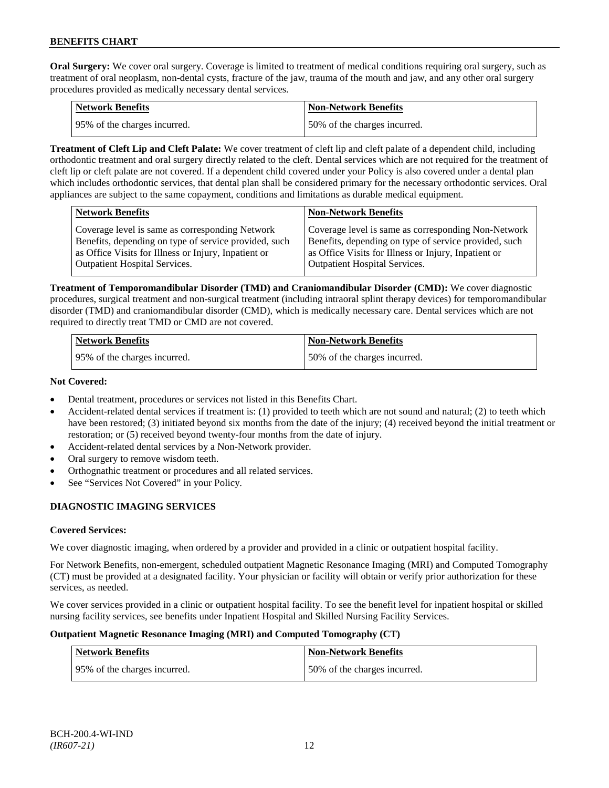**Oral Surgery:** We cover oral surgery. Coverage is limited to treatment of medical conditions requiring oral surgery, such as treatment of oral neoplasm, non-dental cysts, fracture of the jaw, trauma of the mouth and jaw, and any other oral surgery procedures provided as medically necessary dental services.

| Network Benefits             | <b>Non-Network Benefits</b>  |
|------------------------------|------------------------------|
| 95% of the charges incurred. | 50% of the charges incurred. |

**Treatment of Cleft Lip and Cleft Palate:** We cover treatment of cleft lip and cleft palate of a dependent child, including orthodontic treatment and oral surgery directly related to the cleft. Dental services which are not required for the treatment of cleft lip or cleft palate are not covered. If a dependent child covered under your Policy is also covered under a dental plan which includes orthodontic services, that dental plan shall be considered primary for the necessary orthodontic services. Oral appliances are subject to the same copayment, conditions and limitations as durable medical equipment.

|                                                                                                                                                                                                                                                                                                         | <b>Network Benefits</b>                         | <b>Non-Network Benefits</b>                         |
|---------------------------------------------------------------------------------------------------------------------------------------------------------------------------------------------------------------------------------------------------------------------------------------------------------|-------------------------------------------------|-----------------------------------------------------|
| Benefits, depending on type of service provided, such<br>Benefits, depending on type of service provided, such<br>as Office Visits for Illness or Injury, Inpatient or<br>as Office Visits for Illness or Injury, Inpatient or<br>Outpatient Hospital Services.<br><b>Outpatient Hospital Services.</b> | Coverage level is same as corresponding Network | Coverage level is same as corresponding Non-Network |

**Treatment of Temporomandibular Disorder (TMD) and Craniomandibular Disorder (CMD):** We cover diagnostic procedures, surgical treatment and non-surgical treatment (including intraoral splint therapy devices) for temporomandibular disorder (TMD) and craniomandibular disorder (CMD), which is medically necessary care. Dental services which are not required to directly treat TMD or CMD are not covered.

| <b>Network Benefits</b>      | <b>Non-Network Benefits</b>  |
|------------------------------|------------------------------|
| 95% of the charges incurred. | 50% of the charges incurred. |

# **Not Covered:**

- Dental treatment, procedures or services not listed in this Benefits Chart.
- Accident-related dental services if treatment is: (1) provided to teeth which are not sound and natural; (2) to teeth which have been restored; (3) initiated beyond six months from the date of the injury; (4) received beyond the initial treatment or restoration; or (5) received beyond twenty-four months from the date of injury.
- Accident-related dental services by a Non-Network provider.
- Oral surgery to remove wisdom teeth.
- Orthognathic treatment or procedures and all related services.
- See "Services Not Covered" in your Policy.

# **DIAGNOSTIC IMAGING SERVICES**

# **Covered Services:**

We cover diagnostic imaging, when ordered by a provider and provided in a clinic or outpatient hospital facility.

For Network Benefits, non-emergent, scheduled outpatient Magnetic Resonance Imaging (MRI) and Computed Tomography (CT) must be provided at a designated facility. Your physician or facility will obtain or verify prior authorization for these services, as needed.

We cover services provided in a clinic or outpatient hospital facility. To see the benefit level for inpatient hospital or skilled nursing facility services, see benefits under Inpatient Hospital and Skilled Nursing Facility Services.

# **Outpatient Magnetic Resonance Imaging (MRI) and Computed Tomography (CT)**

| <b>Network Benefits</b>      | <b>Non-Network Benefits</b>  |
|------------------------------|------------------------------|
| 95% of the charges incurred. | 50% of the charges incurred. |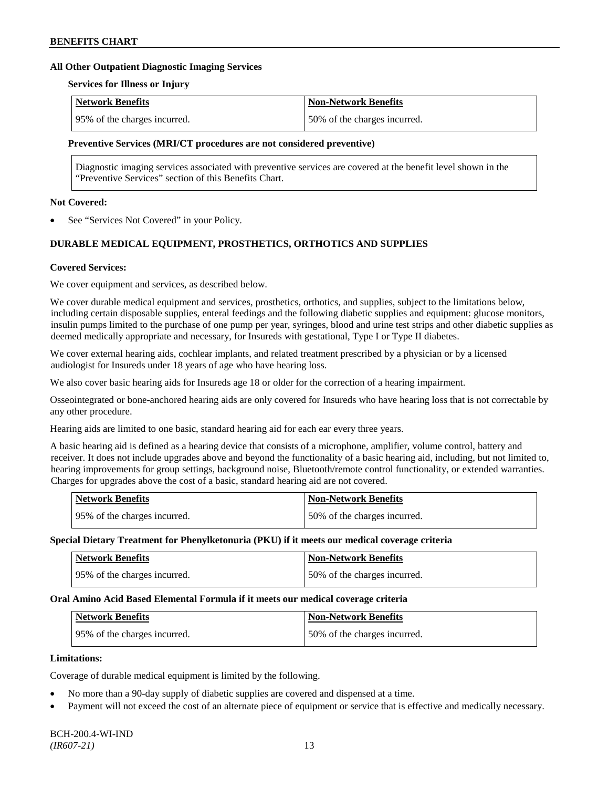#### **All Other Outpatient Diagnostic Imaging Services**

#### **Services for Illness or Injury**

| Network Benefits             | <b>Non-Network Benefits</b>  |
|------------------------------|------------------------------|
| 95% of the charges incurred. | 50% of the charges incurred. |

#### **Preventive Services (MRI/CT procedures are not considered preventive)**

Diagnostic imaging services associated with preventive services are covered at the benefit level shown in the "Preventive Services" section of this Benefits Chart.

#### **Not Covered:**

See "Services Not Covered" in your Policy.

# **DURABLE MEDICAL EQUIPMENT, PROSTHETICS, ORTHOTICS AND SUPPLIES**

### **Covered Services:**

We cover equipment and services, as described below.

We cover durable medical equipment and services, prosthetics, orthotics, and supplies, subject to the limitations below, including certain disposable supplies, enteral feedings and the following diabetic supplies and equipment: glucose monitors, insulin pumps limited to the purchase of one pump per year, syringes, blood and urine test strips and other diabetic supplies as deemed medically appropriate and necessary, for Insureds with gestational, Type I or Type II diabetes.

We cover external hearing aids, cochlear implants, and related treatment prescribed by a physician or by a licensed audiologist for Insureds under 18 years of age who have hearing loss.

We also cover basic hearing aids for Insureds age 18 or older for the correction of a hearing impairment.

Osseointegrated or bone-anchored hearing aids are only covered for Insureds who have hearing loss that is not correctable by any other procedure.

Hearing aids are limited to one basic, standard hearing aid for each ear every three years.

A basic hearing aid is defined as a hearing device that consists of a microphone, amplifier, volume control, battery and receiver. It does not include upgrades above and beyond the functionality of a basic hearing aid, including, but not limited to, hearing improvements for group settings, background noise, Bluetooth/remote control functionality, or extended warranties. Charges for upgrades above the cost of a basic, standard hearing aid are not covered.

| <b>Network Benefits</b>       | <b>Non-Network Benefits</b>  |
|-------------------------------|------------------------------|
| 195% of the charges incurred. | 50% of the charges incurred. |

#### **Special Dietary Treatment for Phenylketonuria (PKU) if it meets our medical coverage criteria**

| <b>Network Benefits</b>      | <b>Non-Network Benefits</b>  |
|------------------------------|------------------------------|
| 95% of the charges incurred. | 50% of the charges incurred. |

#### **Oral Amino Acid Based Elemental Formula if it meets our medical coverage criteria**

| <b>Network Benefits</b>      | Non-Network Benefits          |
|------------------------------|-------------------------------|
| 95% of the charges incurred. | 150% of the charges incurred. |

### **Limitations:**

Coverage of durable medical equipment is limited by the following.

- No more than a 90-day supply of diabetic supplies are covered and dispensed at a time.
- Payment will not exceed the cost of an alternate piece of equipment or service that is effective and medically necessary.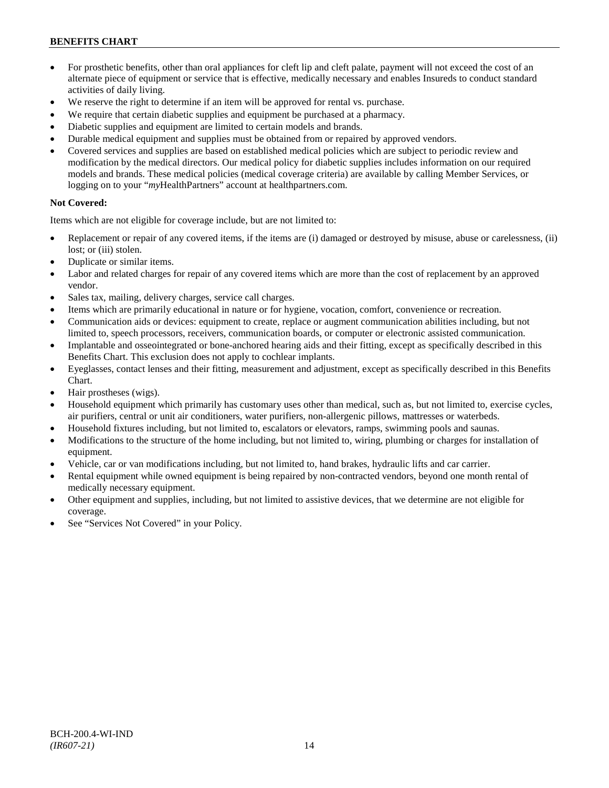- For prosthetic benefits, other than oral appliances for cleft lip and cleft palate, payment will not exceed the cost of an alternate piece of equipment or service that is effective, medically necessary and enables Insureds to conduct standard activities of daily living.
- We reserve the right to determine if an item will be approved for rental vs. purchase.
- We require that certain diabetic supplies and equipment be purchased at a pharmacy.
- Diabetic supplies and equipment are limited to certain models and brands.
- Durable medical equipment and supplies must be obtained from or repaired by approved vendors.
- Covered services and supplies are based on established medical policies which are subject to periodic review and modification by the medical directors. Our medical policy for diabetic supplies includes information on our required models and brands. These medical policies (medical coverage criteria) are available by calling Member Services, or logging on to your "*my*HealthPartners" account at [healthpartners.com.](http://www.healthpartners.com/)

# **Not Covered:**

Items which are not eligible for coverage include, but are not limited to:

- Replacement or repair of any covered items, if the items are (i) damaged or destroyed by misuse, abuse or carelessness, (ii) lost; or (iii) stolen.
- Duplicate or similar items.
- Labor and related charges for repair of any covered items which are more than the cost of replacement by an approved vendor.
- Sales tax, mailing, delivery charges, service call charges.
- Items which are primarily educational in nature or for hygiene, vocation, comfort, convenience or recreation.
- Communication aids or devices: equipment to create, replace or augment communication abilities including, but not limited to, speech processors, receivers, communication boards, or computer or electronic assisted communication.
- Implantable and osseointegrated or bone-anchored hearing aids and their fitting, except as specifically described in this Benefits Chart. This exclusion does not apply to cochlear implants.
- Eyeglasses, contact lenses and their fitting, measurement and adjustment, except as specifically described in this Benefits Chart.
- Hair prostheses (wigs).
- Household equipment which primarily has customary uses other than medical, such as, but not limited to, exercise cycles, air purifiers, central or unit air conditioners, water purifiers, non-allergenic pillows, mattresses or waterbeds.
- Household fixtures including, but not limited to, escalators or elevators, ramps, swimming pools and saunas.
- Modifications to the structure of the home including, but not limited to, wiring, plumbing or charges for installation of equipment.
- Vehicle, car or van modifications including, but not limited to, hand brakes, hydraulic lifts and car carrier.
- Rental equipment while owned equipment is being repaired by non-contracted vendors, beyond one month rental of medically necessary equipment.
- Other equipment and supplies, including, but not limited to assistive devices, that we determine are not eligible for coverage.
- See "Services Not Covered" in your Policy.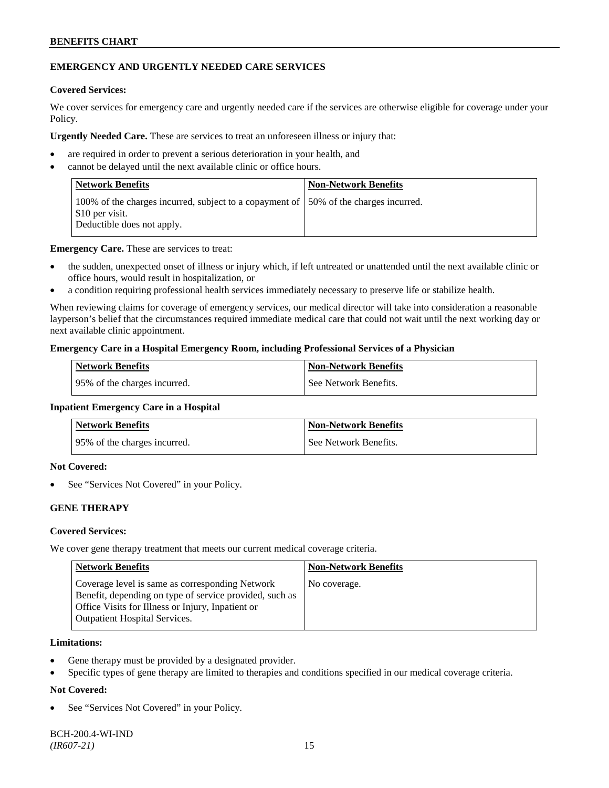# **EMERGENCY AND URGENTLY NEEDED CARE SERVICES**

### **Covered Services:**

We cover services for emergency care and urgently needed care if the services are otherwise eligible for coverage under your Policy.

**Urgently Needed Care.** These are services to treat an unforeseen illness or injury that:

- are required in order to prevent a serious deterioration in your health, and
- cannot be delayed until the next available clinic or office hours.

| Network Benefits                                                                                                                       | <b>Non-Network Benefits</b> |
|----------------------------------------------------------------------------------------------------------------------------------------|-----------------------------|
| 100% of the charges incurred, subject to a copayment of 150% of the charges incurred.<br>\$10 per visit.<br>Deductible does not apply. |                             |

**Emergency Care.** These are services to treat:

- the sudden, unexpected onset of illness or injury which, if left untreated or unattended until the next available clinic or office hours, would result in hospitalization, or
- a condition requiring professional health services immediately necessary to preserve life or stabilize health.

When reviewing claims for coverage of emergency services, our medical director will take into consideration a reasonable layperson's belief that the circumstances required immediate medical care that could not wait until the next working day or next available clinic appointment.

### **Emergency Care in a Hospital Emergency Room, including Professional Services of a Physician**

| Network Benefits              | <b>Non-Network Benefits</b> |
|-------------------------------|-----------------------------|
| 195% of the charges incurred. | See Network Benefits.       |

#### **Inpatient Emergency Care in a Hospital**

| <b>Network Benefits</b>      | <b>Non-Network Benefits</b> |
|------------------------------|-----------------------------|
| 95% of the charges incurred. | See Network Benefits.       |

### **Not Covered:**

See "Services Not Covered" in your Policy.

# **GENE THERAPY**

# **Covered Services:**

We cover gene therapy treatment that meets our current medical coverage criteria.

| <b>Network Benefits</b>                                                                                                                                                                                 | <b>Non-Network Benefits</b> |
|---------------------------------------------------------------------------------------------------------------------------------------------------------------------------------------------------------|-----------------------------|
| Coverage level is same as corresponding Network<br>Benefit, depending on type of service provided, such as<br>Office Visits for Illness or Injury, Inpatient or<br><b>Outpatient Hospital Services.</b> | No coverage.                |

### **Limitations:**

- Gene therapy must be provided by a designated provider.
- Specific types of gene therapy are limited to therapies and conditions specified in our medical coverage criteria.

# **Not Covered:**

See "Services Not Covered" in your Policy.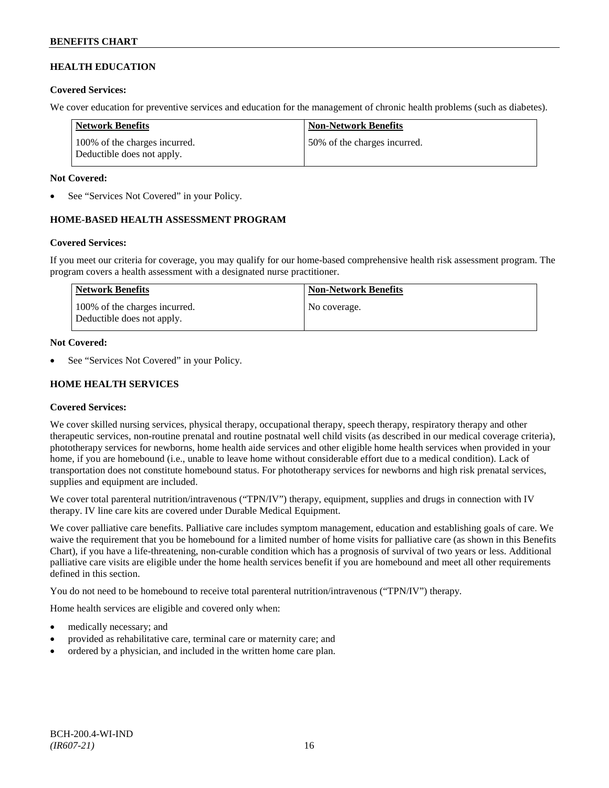# **HEALTH EDUCATION**

### **Covered Services:**

We cover education for preventive services and education for the management of chronic health problems (such as diabetes).

| Network Benefits                                            | <b>Non-Network Benefits</b>  |
|-------------------------------------------------------------|------------------------------|
| 100% of the charges incurred.<br>Deductible does not apply. | 50% of the charges incurred. |

### **Not Covered:**

See "Services Not Covered" in your Policy.

# **HOME-BASED HEALTH ASSESSMENT PROGRAM**

# **Covered Services:**

If you meet our criteria for coverage, you may qualify for our home-based comprehensive health risk assessment program. The program covers a health assessment with a designated nurse practitioner.

| <b>Network Benefits</b>                                     | <b>Non-Network Benefits</b> |
|-------------------------------------------------------------|-----------------------------|
| 100% of the charges incurred.<br>Deductible does not apply. | No coverage.                |

### **Not Covered:**

See "Services Not Covered" in your Policy.

# **HOME HEALTH SERVICES**

# **Covered Services:**

We cover skilled nursing services, physical therapy, occupational therapy, speech therapy, respiratory therapy and other therapeutic services, non-routine prenatal and routine postnatal well child visits (as described in our medical coverage criteria), phototherapy services for newborns, home health aide services and other eligible home health services when provided in your home, if you are homebound (i.e., unable to leave home without considerable effort due to a medical condition). Lack of transportation does not constitute homebound status. For phototherapy services for newborns and high risk prenatal services, supplies and equipment are included.

We cover total parenteral nutrition/intravenous ("TPN/IV") therapy, equipment, supplies and drugs in connection with IV therapy. IV line care kits are covered under Durable Medical Equipment.

We cover palliative care benefits. Palliative care includes symptom management, education and establishing goals of care. We waive the requirement that you be homebound for a limited number of home visits for palliative care (as shown in this Benefits Chart), if you have a life-threatening, non-curable condition which has a prognosis of survival of two years or less. Additional palliative care visits are eligible under the home health services benefit if you are homebound and meet all other requirements defined in this section.

You do not need to be homebound to receive total parenteral nutrition/intravenous ("TPN/IV") therapy.

Home health services are eligible and covered only when:

- medically necessary; and
- provided as rehabilitative care, terminal care or maternity care; and
- ordered by a physician, and included in the written home care plan.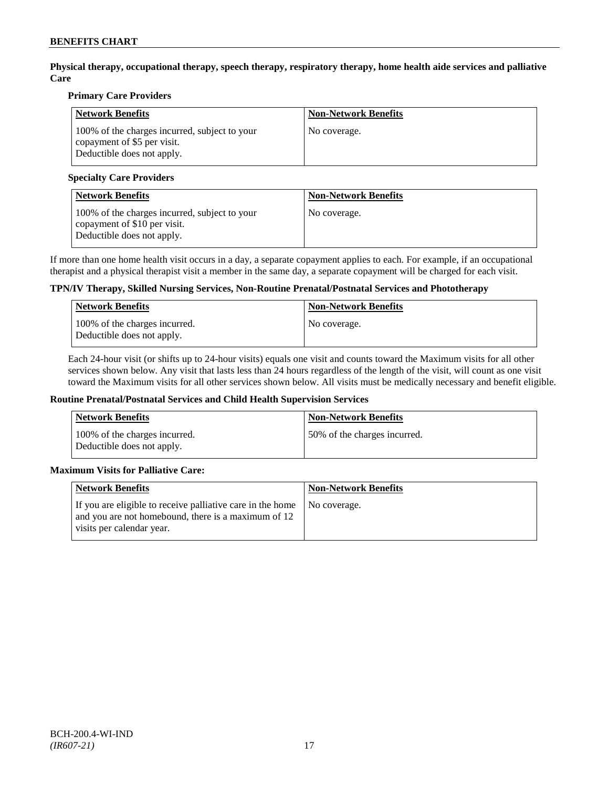**Physical therapy, occupational therapy, speech therapy, respiratory therapy, home health aide services and palliative Care**

### **Primary Care Providers**

| <b>Network Benefits</b>                                                                                    | <b>Non-Network Benefits</b> |
|------------------------------------------------------------------------------------------------------------|-----------------------------|
| 100% of the charges incurred, subject to your<br>copayment of \$5 per visit.<br>Deductible does not apply. | No coverage.                |

### **Specialty Care Providers**

| <b>Network Benefits</b>                                                                                     | <b>Non-Network Benefits</b> |
|-------------------------------------------------------------------------------------------------------------|-----------------------------|
| 100% of the charges incurred, subject to your<br>copayment of \$10 per visit.<br>Deductible does not apply. | No coverage.                |

If more than one home health visit occurs in a day, a separate copayment applies to each. For example, if an occupational therapist and a physical therapist visit a member in the same day, a separate copayment will be charged for each visit.

### **TPN/IV Therapy, Skilled Nursing Services, Non-Routine Prenatal/Postnatal Services and Phototherapy**

| Network Benefits                                            | <b>Non-Network Benefits</b> |
|-------------------------------------------------------------|-----------------------------|
| 100% of the charges incurred.<br>Deductible does not apply. | No coverage.                |

Each 24-hour visit (or shifts up to 24-hour visits) equals one visit and counts toward the Maximum visits for all other services shown below. Any visit that lasts less than 24 hours regardless of the length of the visit, will count as one visit toward the Maximum visits for all other services shown below. All visits must be medically necessary and benefit eligible.

#### **Routine Prenatal/Postnatal Services and Child Health Supervision Services**

| <b>Network Benefits</b>                                     | <b>Non-Network Benefits</b>  |
|-------------------------------------------------------------|------------------------------|
| 100% of the charges incurred.<br>Deductible does not apply. | 50% of the charges incurred. |

# **Maximum Visits for Palliative Care:**

| Network Benefits                                                                                                                               | <b>Non-Network Benefits</b> |
|------------------------------------------------------------------------------------------------------------------------------------------------|-----------------------------|
| If you are eligible to receive palliative care in the home<br>and you are not homebound, there is a maximum of 12<br>visits per calendar year. | No coverage.                |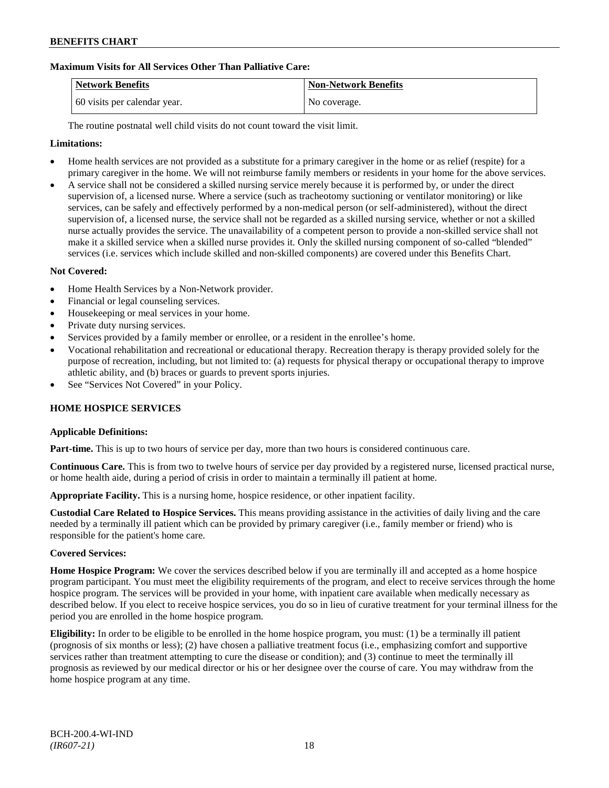# **Maximum Visits for All Services Other Than Palliative Care:**

| Network Benefits             | <b>Non-Network Benefits</b> |
|------------------------------|-----------------------------|
| 60 visits per calendar year. | No coverage.                |

The routine postnatal well child visits do not count toward the visit limit.

# **Limitations:**

- Home health services are not provided as a substitute for a primary caregiver in the home or as relief (respite) for a primary caregiver in the home. We will not reimburse family members or residents in your home for the above services.
- A service shall not be considered a skilled nursing service merely because it is performed by, or under the direct supervision of, a licensed nurse. Where a service (such as tracheotomy suctioning or ventilator monitoring) or like services, can be safely and effectively performed by a non-medical person (or self-administered), without the direct supervision of, a licensed nurse, the service shall not be regarded as a skilled nursing service, whether or not a skilled nurse actually provides the service. The unavailability of a competent person to provide a non-skilled service shall not make it a skilled service when a skilled nurse provides it. Only the skilled nursing component of so-called "blended" services (i.e. services which include skilled and non-skilled components) are covered under this Benefits Chart.

# **Not Covered:**

- Home Health Services by a Non-Network provider.
- Financial or legal counseling services.
- Housekeeping or meal services in your home.
- Private duty nursing services.
- Services provided by a family member or enrollee, or a resident in the enrollee's home.
- Vocational rehabilitation and recreational or educational therapy. Recreation therapy is therapy provided solely for the purpose of recreation, including, but not limited to: (a) requests for physical therapy or occupational therapy to improve athletic ability, and (b) braces or guards to prevent sports injuries.
- See "Services Not Covered" in your Policy.

# **HOME HOSPICE SERVICES**

#### **Applicable Definitions:**

**Part-time.** This is up to two hours of service per day, more than two hours is considered continuous care.

**Continuous Care.** This is from two to twelve hours of service per day provided by a registered nurse, licensed practical nurse, or home health aide, during a period of crisis in order to maintain a terminally ill patient at home.

**Appropriate Facility.** This is a nursing home, hospice residence, or other inpatient facility.

**Custodial Care Related to Hospice Services.** This means providing assistance in the activities of daily living and the care needed by a terminally ill patient which can be provided by primary caregiver (i.e., family member or friend) who is responsible for the patient's home care.

# **Covered Services:**

**Home Hospice Program:** We cover the services described below if you are terminally ill and accepted as a home hospice program participant. You must meet the eligibility requirements of the program, and elect to receive services through the home hospice program. The services will be provided in your home, with inpatient care available when medically necessary as described below. If you elect to receive hospice services, you do so in lieu of curative treatment for your terminal illness for the period you are enrolled in the home hospice program.

**Eligibility:** In order to be eligible to be enrolled in the home hospice program, you must: (1) be a terminally ill patient (prognosis of six months or less); (2) have chosen a palliative treatment focus (i.e., emphasizing comfort and supportive services rather than treatment attempting to cure the disease or condition); and (3) continue to meet the terminally ill prognosis as reviewed by our medical director or his or her designee over the course of care. You may withdraw from the home hospice program at any time.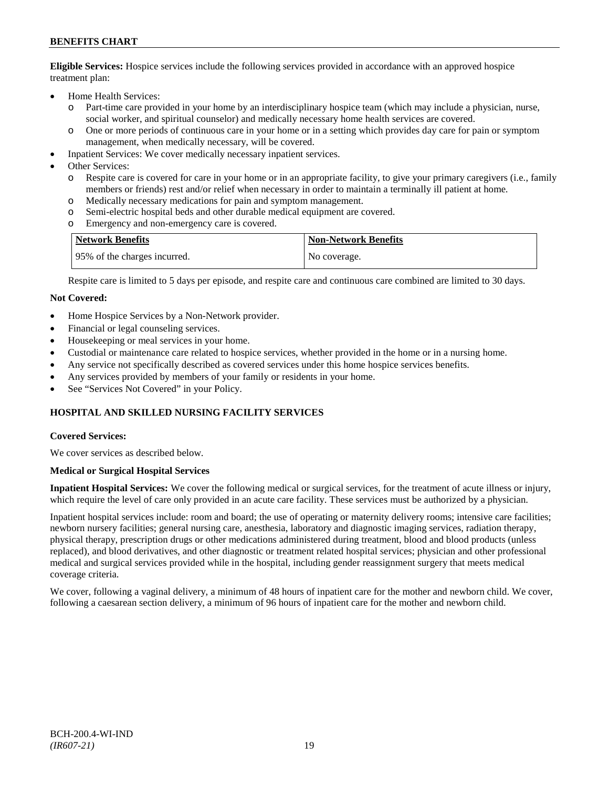**Eligible Services:** Hospice services include the following services provided in accordance with an approved hospice treatment plan:

- Home Health Services:
	- o Part-time care provided in your home by an interdisciplinary hospice team (which may include a physician, nurse, social worker, and spiritual counselor) and medically necessary home health services are covered.
	- o One or more periods of continuous care in your home or in a setting which provides day care for pain or symptom management, when medically necessary, will be covered.
- Inpatient Services: We cover medically necessary inpatient services.
- Other Services:
	- o Respite care is covered for care in your home or in an appropriate facility, to give your primary caregivers (i.e., family members or friends) rest and/or relief when necessary in order to maintain a terminally ill patient at home*.*
	- o Medically necessary medications for pain and symptom management.
	- o Semi-electric hospital beds and other durable medical equipment are covered.
	- o Emergency and non-emergency care is covered.

| <b>Network Benefits</b>       | <b>Non-Network Benefits</b> |
|-------------------------------|-----------------------------|
| 195% of the charges incurred. | No coverage.                |

Respite care is limited to 5 days per episode, and respite care and continuous care combined are limited to 30 days.

### **Not Covered:**

- Home Hospice Services by a Non-Network provider.
- Financial or legal counseling services.
- Housekeeping or meal services in your home.
- Custodial or maintenance care related to hospice services, whether provided in the home or in a nursing home.
- Any service not specifically described as covered services under this home hospice services benefits.
- Any services provided by members of your family or residents in your home.
- See "Services Not Covered" in your Policy.

# **HOSPITAL AND SKILLED NURSING FACILITY SERVICES**

#### **Covered Services:**

We cover services as described below.

### **Medical or Surgical Hospital Services**

**Inpatient Hospital Services:** We cover the following medical or surgical services, for the treatment of acute illness or injury, which require the level of care only provided in an acute care facility. These services must be authorized by a physician.

Inpatient hospital services include: room and board; the use of operating or maternity delivery rooms; intensive care facilities; newborn nursery facilities; general nursing care, anesthesia, laboratory and diagnostic imaging services, radiation therapy, physical therapy, prescription drugs or other medications administered during treatment, blood and blood products (unless replaced), and blood derivatives, and other diagnostic or treatment related hospital services; physician and other professional medical and surgical services provided while in the hospital, including gender reassignment surgery that meets medical coverage criteria.

We cover, following a vaginal delivery, a minimum of 48 hours of inpatient care for the mother and newborn child. We cover, following a caesarean section delivery, a minimum of 96 hours of inpatient care for the mother and newborn child.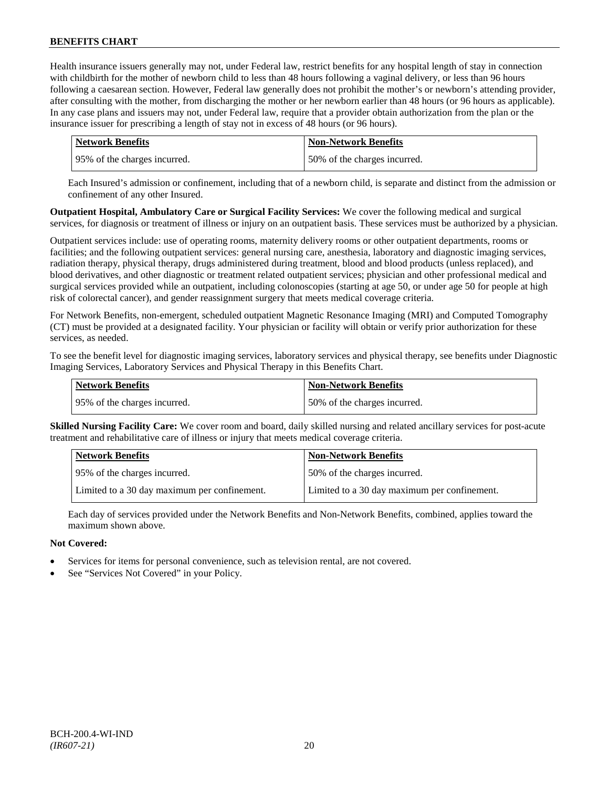Health insurance issuers generally may not, under Federal law, restrict benefits for any hospital length of stay in connection with childbirth for the mother of newborn child to less than 48 hours following a vaginal delivery, or less than 96 hours following a caesarean section. However, Federal law generally does not prohibit the mother's or newborn's attending provider, after consulting with the mother, from discharging the mother or her newborn earlier than 48 hours (or 96 hours as applicable). In any case plans and issuers may not, under Federal law, require that a provider obtain authorization from the plan or the insurance issuer for prescribing a length of stay not in excess of 48 hours (or 96 hours).

| <b>Network Benefits</b>      | <b>Non-Network Benefits</b>  |
|------------------------------|------------------------------|
| 95% of the charges incurred. | 50% of the charges incurred. |

Each Insured's admission or confinement, including that of a newborn child, is separate and distinct from the admission or confinement of any other Insured.

**Outpatient Hospital, Ambulatory Care or Surgical Facility Services:** We cover the following medical and surgical services, for diagnosis or treatment of illness or injury on an outpatient basis. These services must be authorized by a physician.

Outpatient services include: use of operating rooms, maternity delivery rooms or other outpatient departments, rooms or facilities; and the following outpatient services: general nursing care, anesthesia, laboratory and diagnostic imaging services, radiation therapy, physical therapy, drugs administered during treatment, blood and blood products (unless replaced), and blood derivatives, and other diagnostic or treatment related outpatient services; physician and other professional medical and surgical services provided while an outpatient, including colonoscopies (starting at age 50, or under age 50 for people at high risk of colorectal cancer), and gender reassignment surgery that meets medical coverage criteria.

For Network Benefits, non-emergent, scheduled outpatient Magnetic Resonance Imaging (MRI) and Computed Tomography (CT) must be provided at a designated facility. Your physician or facility will obtain or verify prior authorization for these services, as needed.

To see the benefit level for diagnostic imaging services, laboratory services and physical therapy, see benefits under Diagnostic Imaging Services, Laboratory Services and Physical Therapy in this Benefits Chart.

| <b>Network Benefits</b>      | <b>Non-Network Benefits</b>  |
|------------------------------|------------------------------|
| 95% of the charges incurred. | 50% of the charges incurred. |

**Skilled Nursing Facility Care:** We cover room and board, daily skilled nursing and related ancillary services for post-acute treatment and rehabilitative care of illness or injury that meets medical coverage criteria.

| <b>Network Benefits</b>                      | <b>Non-Network Benefits</b>                  |
|----------------------------------------------|----------------------------------------------|
| 95% of the charges incurred.                 | 50% of the charges incurred.                 |
| Limited to a 30 day maximum per confinement. | Limited to a 30 day maximum per confinement. |

Each day of services provided under the Network Benefits and Non-Network Benefits, combined, applies toward the maximum shown above.

# **Not Covered:**

- Services for items for personal convenience, such as television rental, are not covered.
- See "Services Not Covered" in your Policy.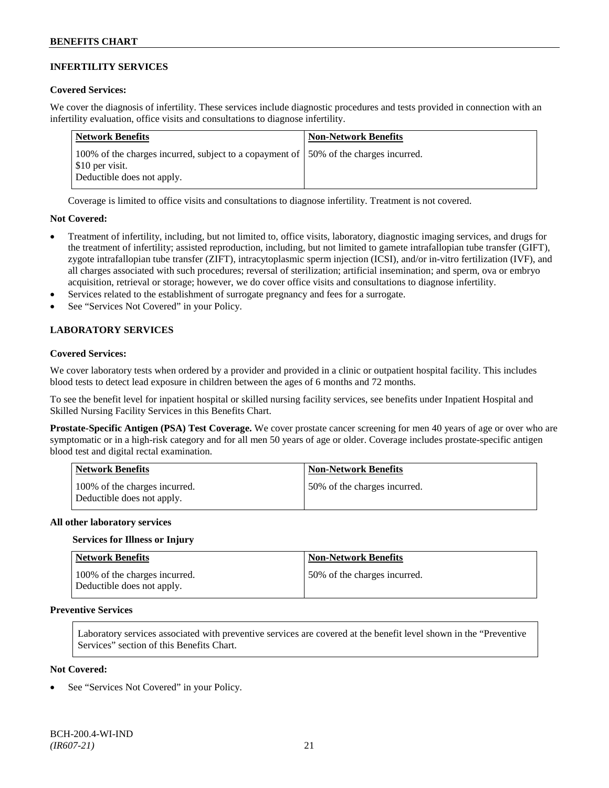# **INFERTILITY SERVICES**

### **Covered Services:**

We cover the diagnosis of infertility. These services include diagnostic procedures and tests provided in connection with an infertility evaluation, office visits and consultations to diagnose infertility.

| <b>Network Benefits</b>                                                                                                                | <b>Non-Network Benefits</b> |
|----------------------------------------------------------------------------------------------------------------------------------------|-----------------------------|
| 100% of the charges incurred, subject to a copayment of 150% of the charges incurred.<br>\$10 per visit.<br>Deductible does not apply. |                             |

Coverage is limited to office visits and consultations to diagnose infertility. Treatment is not covered.

### **Not Covered:**

- Treatment of infertility, including, but not limited to, office visits, laboratory, diagnostic imaging services, and drugs for the treatment of infertility; assisted reproduction, including, but not limited to gamete intrafallopian tube transfer (GIFT), zygote intrafallopian tube transfer (ZIFT), intracytoplasmic sperm injection (ICSI), and/or in-vitro fertilization (IVF), and all charges associated with such procedures; reversal of sterilization; artificial insemination; and sperm, ova or embryo acquisition, retrieval or storage; however, we do cover office visits and consultations to diagnose infertility.
- Services related to the establishment of surrogate pregnancy and fees for a surrogate.
- See "Services Not Covered" in your Policy.

# **LABORATORY SERVICES**

### **Covered Services:**

We cover laboratory tests when ordered by a provider and provided in a clinic or outpatient hospital facility. This includes blood tests to detect lead exposure in children between the ages of 6 months and 72 months.

To see the benefit level for inpatient hospital or skilled nursing facility services, see benefits under Inpatient Hospital and Skilled Nursing Facility Services in this Benefits Chart.

**Prostate-Specific Antigen (PSA) Test Coverage.** We cover prostate cancer screening for men 40 years of age or over who are symptomatic or in a high-risk category and for all men 50 years of age or older. Coverage includes prostate-specific antigen blood test and digital rectal examination.

| Network Benefits                                            | <b>Non-Network Benefits</b>  |
|-------------------------------------------------------------|------------------------------|
| 100% of the charges incurred.<br>Deductible does not apply. | 50% of the charges incurred. |

#### **All other laboratory services**

#### **Services for Illness or Injury**

| <b>Network Benefits</b>                                     | <b>Non-Network Benefits</b>  |
|-------------------------------------------------------------|------------------------------|
| 100% of the charges incurred.<br>Deductible does not apply. | 50% of the charges incurred. |

# **Preventive Services**

Laboratory services associated with preventive services are covered at the benefit level shown in the "Preventive Services" section of this Benefits Chart.

#### **Not Covered:**

See "Services Not Covered" in your Policy.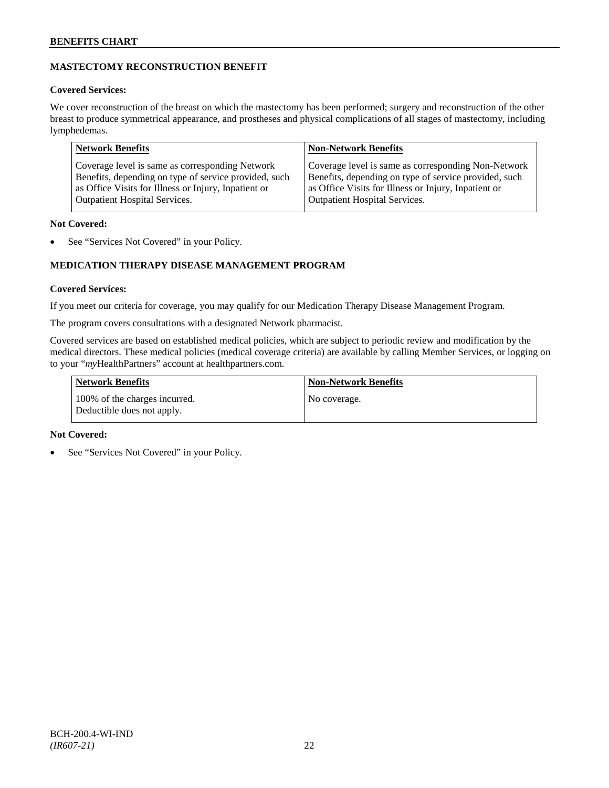# **MASTECTOMY RECONSTRUCTION BENEFIT**

# **Covered Services:**

We cover reconstruction of the breast on which the mastectomy has been performed; surgery and reconstruction of the other breast to produce symmetrical appearance, and prostheses and physical complications of all stages of mastectomy, including lymphedemas.

| Coverage level is same as corresponding Non-Network<br>Coverage level is same as corresponding Network<br>Benefits, depending on type of service provided, such<br>Benefits, depending on type of service provided, such | <b>Network Benefits</b>                              | <b>Non-Network Benefits</b>                          |
|--------------------------------------------------------------------------------------------------------------------------------------------------------------------------------------------------------------------------|------------------------------------------------------|------------------------------------------------------|
| <b>Outpatient Hospital Services.</b><br><b>Outpatient Hospital Services.</b>                                                                                                                                             | as Office Visits for Illness or Injury, Inpatient or | as Office Visits for Illness or Injury, Inpatient or |

# **Not Covered:**

See "Services Not Covered" in your Policy.

# **MEDICATION THERAPY DISEASE MANAGEMENT PROGRAM**

# **Covered Services:**

If you meet our criteria for coverage, you may qualify for our Medication Therapy Disease Management Program.

The program covers consultations with a designated Network pharmacist.

Covered services are based on established medical policies, which are subject to periodic review and modification by the medical directors. These medical policies (medical coverage criteria) are available by calling Member Services, or logging on to your "*my*HealthPartners" account at [healthpartners.com.](http://www.healthpartners.com/)

| <b>Network Benefits</b>                                     | <b>Non-Network Benefits</b> |
|-------------------------------------------------------------|-----------------------------|
| 100% of the charges incurred.<br>Deductible does not apply. | No coverage.                |

# **Not Covered:**

See "Services Not Covered" in your Policy.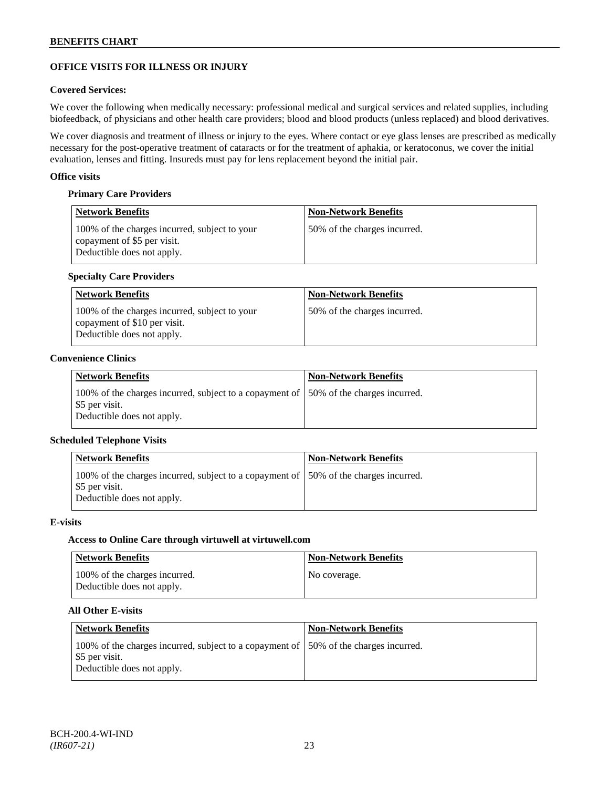# **OFFICE VISITS FOR ILLNESS OR INJURY**

### **Covered Services:**

We cover the following when medically necessary: professional medical and surgical services and related supplies, including biofeedback, of physicians and other health care providers; blood and blood products (unless replaced) and blood derivatives.

We cover diagnosis and treatment of illness or injury to the eyes. Where contact or eye glass lenses are prescribed as medically necessary for the post-operative treatment of cataracts or for the treatment of aphakia, or keratoconus, we cover the initial evaluation, lenses and fitting. Insureds must pay for lens replacement beyond the initial pair.

### **Office visits**

### **Primary Care Providers**

| <b>Network Benefits</b>                                                                                    | <b>Non-Network Benefits</b>  |
|------------------------------------------------------------------------------------------------------------|------------------------------|
| 100% of the charges incurred, subject to your<br>copayment of \$5 per visit.<br>Deductible does not apply. | 50% of the charges incurred. |

### **Specialty Care Providers**

| <b>Network Benefits</b>                                                                                     | <b>Non-Network Benefits</b>  |
|-------------------------------------------------------------------------------------------------------------|------------------------------|
| 100% of the charges incurred, subject to your<br>copayment of \$10 per visit.<br>Deductible does not apply. | 50% of the charges incurred. |

#### **Convenience Clinics**

| <b>Network Benefits</b>                                                                                                               | <b>Non-Network Benefits</b> |
|---------------------------------------------------------------------------------------------------------------------------------------|-----------------------------|
| 100% of the charges incurred, subject to a copayment of 150% of the charges incurred.<br>\$5 per visit.<br>Deductible does not apply. |                             |

# **Scheduled Telephone Visits**

| <b>Non-Network Benefits</b>                                                           |
|---------------------------------------------------------------------------------------|
| 100% of the charges incurred, subject to a copayment of 150% of the charges incurred. |
|                                                                                       |

#### **E-visits**

#### **Access to Online Care through virtuwell a[t virtuwell.com](http://www.virtuwell.com/)**

| <b>Network Benefits</b>                                     | <b>Non-Network Benefits</b> |
|-------------------------------------------------------------|-----------------------------|
| 100% of the charges incurred.<br>Deductible does not apply. | No coverage.                |

### **All Other E-visits**

| Network Benefits                                                                                                                      | <b>Non-Network Benefits</b> |
|---------------------------------------------------------------------------------------------------------------------------------------|-----------------------------|
| 100% of the charges incurred, subject to a copayment of 150% of the charges incurred.<br>\$5 per visit.<br>Deductible does not apply. |                             |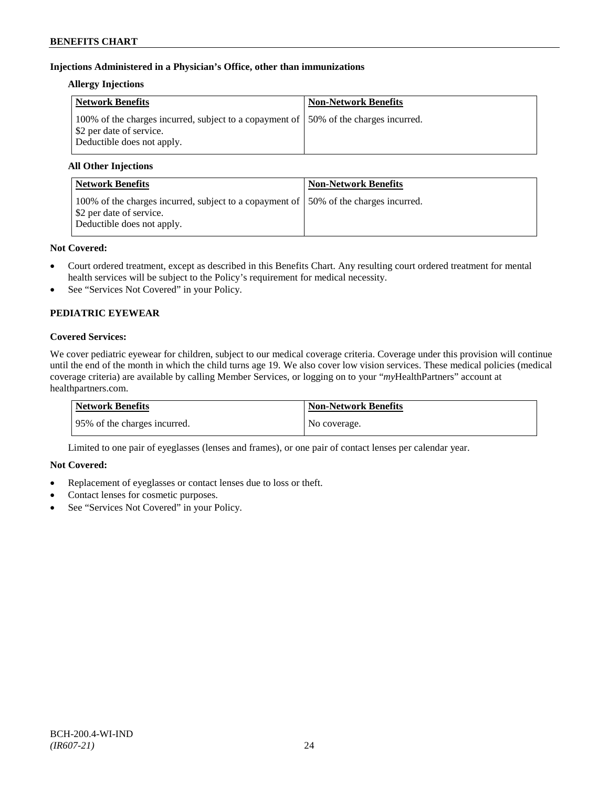# **Injections Administered in a Physician's Office, other than immunizations**

### **Allergy Injections**

| Network Benefits                                                                                                                                | <b>Non-Network Benefits</b> |
|-------------------------------------------------------------------------------------------------------------------------------------------------|-----------------------------|
| 100% of the charges incurred, subject to a copayment of 150% of the charges incurred.<br>\$2 per date of service.<br>Deductible does not apply. |                             |

# **All Other Injections**

| <b>Network Benefits</b>                                                                                                                         | <b>Non-Network Benefits</b> |
|-------------------------------------------------------------------------------------------------------------------------------------------------|-----------------------------|
| 100% of the charges incurred, subject to a copayment of 150% of the charges incurred.<br>\$2 per date of service.<br>Deductible does not apply. |                             |

### **Not Covered:**

- Court ordered treatment, except as described in this Benefits Chart. Any resulting court ordered treatment for mental health services will be subject to the Policy's requirement for medical necessity.
- See "Services Not Covered" in your Policy.

# **PEDIATRIC EYEWEAR**

# **Covered Services:**

We cover pediatric eyewear for children, subject to our medical coverage criteria. Coverage under this provision will continue until the end of the month in which the child turns age 19. We also cover low vision services. These medical policies (medical coverage criteria) are available by calling Member Services, or logging on to your "*my*HealthPartners" account at [healthpartners.com.](http://www.healthpartners.com/)

| Network Benefits             | <b>Non-Network Benefits</b> |
|------------------------------|-----------------------------|
| 95% of the charges incurred. | No coverage.                |

Limited to one pair of eyeglasses (lenses and frames), or one pair of contact lenses per calendar year.

# **Not Covered:**

- Replacement of eyeglasses or contact lenses due to loss or theft.
- Contact lenses for cosmetic purposes.
- See "Services Not Covered" in your Policy.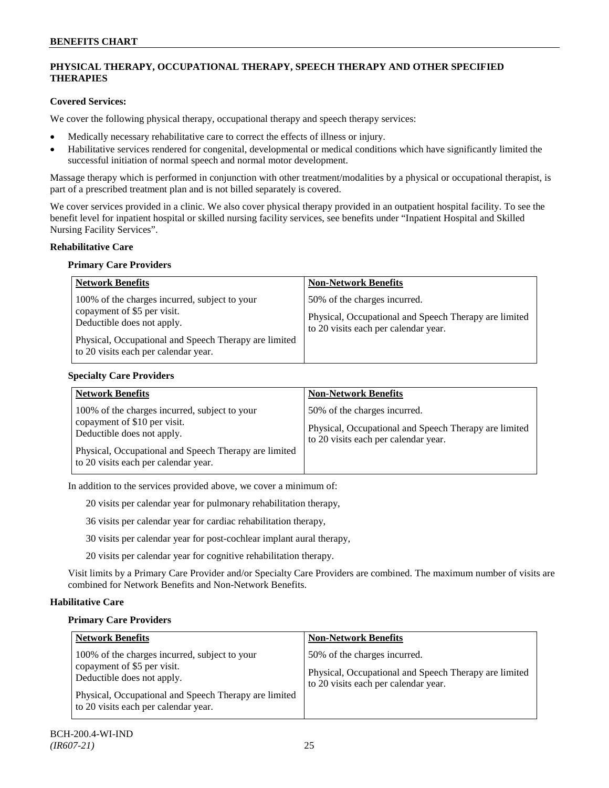# **PHYSICAL THERAPY, OCCUPATIONAL THERAPY, SPEECH THERAPY AND OTHER SPECIFIED THERAPIES**

# **Covered Services:**

We cover the following physical therapy, occupational therapy and speech therapy services:

- Medically necessary rehabilitative care to correct the effects of illness or injury.
- Habilitative services rendered for congenital, developmental or medical conditions which have significantly limited the successful initiation of normal speech and normal motor development.

Massage therapy which is performed in conjunction with other treatment/modalities by a physical or occupational therapist, is part of a prescribed treatment plan and is not billed separately is covered.

We cover services provided in a clinic. We also cover physical therapy provided in an outpatient hospital facility. To see the benefit level for inpatient hospital or skilled nursing facility services, see benefits under "Inpatient Hospital and Skilled Nursing Facility Services".

### **Rehabilitative Care**

### **Primary Care Providers**

| <b>Network Benefits</b>                                                                                                                                                                                     | <b>Non-Network Benefits</b>                                                                                                   |
|-------------------------------------------------------------------------------------------------------------------------------------------------------------------------------------------------------------|-------------------------------------------------------------------------------------------------------------------------------|
| 100% of the charges incurred, subject to your<br>copayment of \$5 per visit.<br>Deductible does not apply.<br>Physical, Occupational and Speech Therapy are limited<br>to 20 visits each per calendar year. | 50% of the charges incurred.<br>Physical, Occupational and Speech Therapy are limited<br>to 20 visits each per calendar year. |

# **Specialty Care Providers**

| <b>Network Benefits</b>                                                                                                                                                                                      | <b>Non-Network Benefits</b>                                                                                                   |
|--------------------------------------------------------------------------------------------------------------------------------------------------------------------------------------------------------------|-------------------------------------------------------------------------------------------------------------------------------|
| 100% of the charges incurred, subject to your<br>copayment of \$10 per visit.<br>Deductible does not apply.<br>Physical, Occupational and Speech Therapy are limited<br>to 20 visits each per calendar year. | 50% of the charges incurred.<br>Physical, Occupational and Speech Therapy are limited<br>to 20 visits each per calendar year. |

In addition to the services provided above, we cover a minimum of:

20 visits per calendar year for pulmonary rehabilitation therapy,

36 visits per calendar year for cardiac rehabilitation therapy,

30 visits per calendar year for post-cochlear implant aural therapy,

20 visits per calendar year for cognitive rehabilitation therapy.

Visit limits by a Primary Care Provider and/or Specialty Care Providers are combined. The maximum number of visits are combined for Network Benefits and Non-Network Benefits.

# **Habilitative Care**

# **Primary Care Providers**

| <b>Network Benefits</b>                                                                                                                                                                                     | <b>Non-Network Benefits</b>                                                                                                   |
|-------------------------------------------------------------------------------------------------------------------------------------------------------------------------------------------------------------|-------------------------------------------------------------------------------------------------------------------------------|
| 100% of the charges incurred, subject to your<br>copayment of \$5 per visit.<br>Deductible does not apply.<br>Physical, Occupational and Speech Therapy are limited<br>to 20 visits each per calendar year. | 50% of the charges incurred.<br>Physical, Occupational and Speech Therapy are limited<br>to 20 visits each per calendar year. |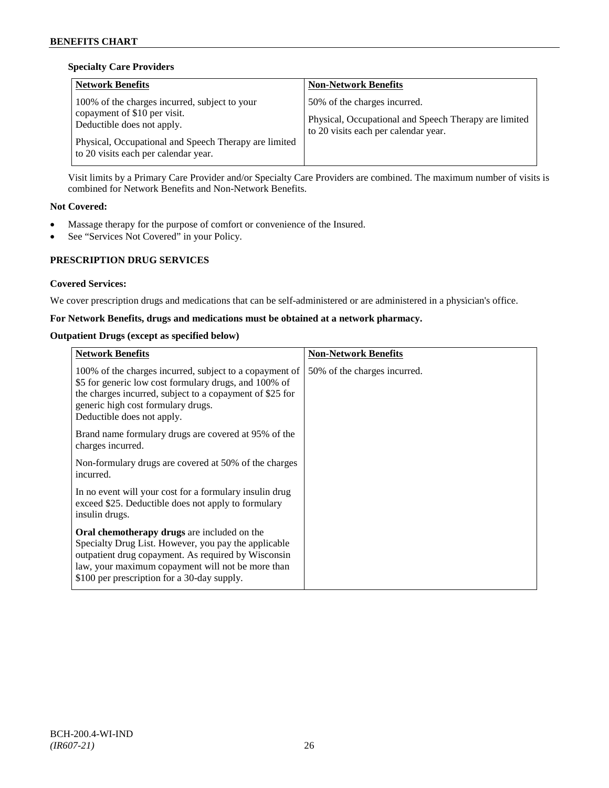# **Specialty Care Providers**

| <b>Network Benefits</b>                                                                                     | <b>Non-Network Benefits</b>                                                                                                   |
|-------------------------------------------------------------------------------------------------------------|-------------------------------------------------------------------------------------------------------------------------------|
| 100% of the charges incurred, subject to your<br>copayment of \$10 per visit.<br>Deductible does not apply. | 50% of the charges incurred.<br>Physical, Occupational and Speech Therapy are limited<br>to 20 visits each per calendar year. |
| Physical, Occupational and Speech Therapy are limited<br>to 20 visits each per calendar year.               |                                                                                                                               |

Visit limits by a Primary Care Provider and/or Specialty Care Providers are combined. The maximum number of visits is combined for Network Benefits and Non-Network Benefits.

### **Not Covered:**

- Massage therapy for the purpose of comfort or convenience of the Insured.
- See "Services Not Covered" in your Policy.

# **PRESCRIPTION DRUG SERVICES**

### **Covered Services:**

We cover prescription drugs and medications that can be self-administered or are administered in a physician's office.

### **For Network Benefits, drugs and medications must be obtained at a network pharmacy.**

#### **Outpatient Drugs (except as specified below)**

| <b>Network Benefits</b>                                                                                                                                                                                                                                               | <b>Non-Network Benefits</b>  |
|-----------------------------------------------------------------------------------------------------------------------------------------------------------------------------------------------------------------------------------------------------------------------|------------------------------|
| 100% of the charges incurred, subject to a copayment of<br>\$5 for generic low cost formulary drugs, and 100% of<br>the charges incurred, subject to a copayment of \$25 for<br>generic high cost formulary drugs.<br>Deductible does not apply.                      | 50% of the charges incurred. |
| Brand name formulary drugs are covered at 95% of the<br>charges incurred.                                                                                                                                                                                             |                              |
| Non-formulary drugs are covered at 50% of the charges<br>incurred.                                                                                                                                                                                                    |                              |
| In no event will your cost for a formulary insulin drug<br>exceed \$25. Deductible does not apply to formulary<br>insulin drugs.                                                                                                                                      |                              |
| <b>Oral chemotherapy drugs</b> are included on the<br>Specialty Drug List. However, you pay the applicable<br>outpatient drug copayment. As required by Wisconsin<br>law, your maximum copayment will not be more than<br>\$100 per prescription for a 30-day supply. |                              |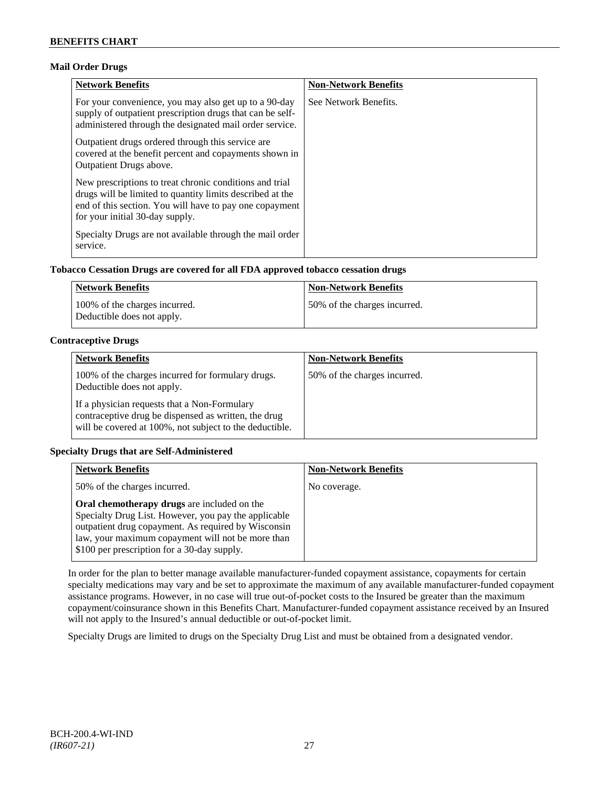# **Mail Order Drugs**

| <b>Network Benefits</b>                                                                                                                                                                                            | <b>Non-Network Benefits</b> |
|--------------------------------------------------------------------------------------------------------------------------------------------------------------------------------------------------------------------|-----------------------------|
| For your convenience, you may also get up to a 90-day<br>supply of outpatient prescription drugs that can be self-<br>administered through the designated mail order service.                                      | See Network Benefits.       |
| Outpatient drugs ordered through this service are.<br>covered at the benefit percent and copayments shown in<br><b>Outpatient Drugs above.</b>                                                                     |                             |
| New prescriptions to treat chronic conditions and trial<br>drugs will be limited to quantity limits described at the<br>end of this section. You will have to pay one copayment<br>for your initial 30-day supply. |                             |
| Specialty Drugs are not available through the mail order<br>service.                                                                                                                                               |                             |

# **Tobacco Cessation Drugs are covered for all FDA approved tobacco cessation drugs**

| Network Benefits                                            | <b>Non-Network Benefits</b>  |
|-------------------------------------------------------------|------------------------------|
| 100% of the charges incurred.<br>Deductible does not apply. | 50% of the charges incurred. |

# **Contraceptive Drugs**

| <b>Network Benefits</b>                                                                                                                                         | <b>Non-Network Benefits</b>  |
|-----------------------------------------------------------------------------------------------------------------------------------------------------------------|------------------------------|
| 100% of the charges incurred for formulary drugs.<br>Deductible does not apply.                                                                                 | 50% of the charges incurred. |
| If a physician requests that a Non-Formulary<br>contraceptive drug be dispensed as written, the drug<br>will be covered at 100%, not subject to the deductible. |                              |

# **Specialty Drugs that are Self-Administered**

| <b>Network Benefits</b>                                                                                                                                                                                                                                        | <b>Non-Network Benefits</b> |
|----------------------------------------------------------------------------------------------------------------------------------------------------------------------------------------------------------------------------------------------------------------|-----------------------------|
| 50% of the charges incurred.                                                                                                                                                                                                                                   | No coverage.                |
| Oral chemotherapy drugs are included on the<br>Specialty Drug List. However, you pay the applicable<br>outpatient drug copayment. As required by Wisconsin<br>law, your maximum copayment will not be more than<br>\$100 per prescription for a 30-day supply. |                             |

In order for the plan to better manage available manufacturer-funded copayment assistance, copayments for certain specialty medications may vary and be set to approximate the maximum of any available manufacturer-funded copayment assistance programs. However, in no case will true out-of-pocket costs to the Insured be greater than the maximum copayment/coinsurance shown in this Benefits Chart. Manufacturer-funded copayment assistance received by an Insured will not apply to the Insured's annual deductible or out-of-pocket limit.

Specialty Drugs are limited to drugs on the Specialty Drug List and must be obtained from a designated vendor.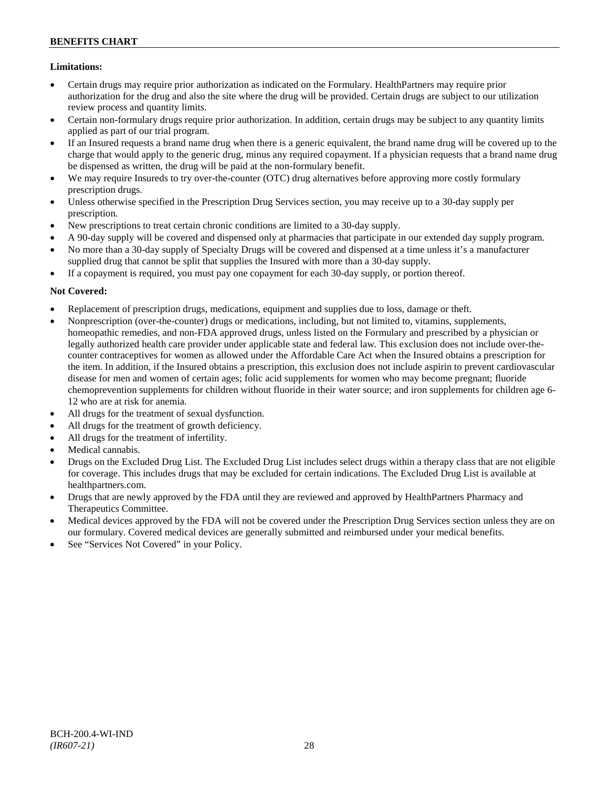# **Limitations:**

- Certain drugs may require prior authorization as indicated on the Formulary. HealthPartners may require prior authorization for the drug and also the site where the drug will be provided. Certain drugs are subject to our utilization review process and quantity limits.
- Certain non-formulary drugs require prior authorization. In addition, certain drugs may be subject to any quantity limits applied as part of our trial program.
- If an Insured requests a brand name drug when there is a generic equivalent, the brand name drug will be covered up to the charge that would apply to the generic drug, minus any required copayment. If a physician requests that a brand name drug be dispensed as written, the drug will be paid at the non-formulary benefit.
- We may require Insureds to try over-the-counter (OTC) drug alternatives before approving more costly formulary prescription drugs.
- Unless otherwise specified in the Prescription Drug Services section, you may receive up to a 30-day supply per prescription.
- New prescriptions to treat certain chronic conditions are limited to a 30-day supply.
- A 90-day supply will be covered and dispensed only at pharmacies that participate in our extended day supply program.
- No more than a 30-day supply of Specialty Drugs will be covered and dispensed at a time unless it's a manufacturer supplied drug that cannot be split that supplies the Insured with more than a 30-day supply.
- If a copayment is required, you must pay one copayment for each 30-day supply, or portion thereof.

# **Not Covered:**

- Replacement of prescription drugs, medications, equipment and supplies due to loss, damage or theft.
- Nonprescription (over-the-counter) drugs or medications, including, but not limited to, vitamins, supplements, homeopathic remedies, and non-FDA approved drugs, unless listed on the Formulary and prescribed by a physician or legally authorized health care provider under applicable state and federal law. This exclusion does not include over-thecounter contraceptives for women as allowed under the Affordable Care Act when the Insured obtains a prescription for the item. In addition, if the Insured obtains a prescription, this exclusion does not include aspirin to prevent cardiovascular disease for men and women of certain ages; folic acid supplements for women who may become pregnant; fluoride chemoprevention supplements for children without fluoride in their water source; and iron supplements for children age 6- 12 who are at risk for anemia.
- All drugs for the treatment of sexual dysfunction.
- All drugs for the treatment of growth deficiency.
- All drugs for the treatment of infertility.
- Medical cannabis.
- Drugs on the Excluded Drug List. The Excluded Drug List includes select drugs within a therapy class that are not eligible for coverage. This includes drugs that may be excluded for certain indications. The Excluded Drug List is available at [healthpartners.com.](http://www.healthpartners.com/)
- Drugs that are newly approved by the FDA until they are reviewed and approved by HealthPartners Pharmacy and Therapeutics Committee.
- Medical devices approved by the FDA will not be covered under the Prescription Drug Services section unless they are on our formulary. Covered medical devices are generally submitted and reimbursed under your medical benefits.
- See "Services Not Covered" in your Policy.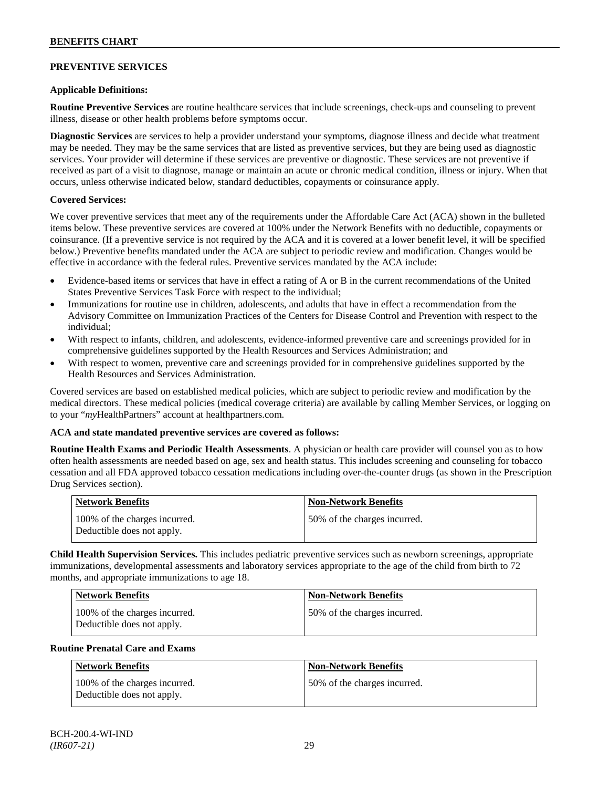# **PREVENTIVE SERVICES**

# **Applicable Definitions:**

**Routine Preventive Services** are routine healthcare services that include screenings, check-ups and counseling to prevent illness, disease or other health problems before symptoms occur.

**Diagnostic Services** are services to help a provider understand your symptoms, diagnose illness and decide what treatment may be needed. They may be the same services that are listed as preventive services, but they are being used as diagnostic services. Your provider will determine if these services are preventive or diagnostic. These services are not preventive if received as part of a visit to diagnose, manage or maintain an acute or chronic medical condition, illness or injury. When that occurs, unless otherwise indicated below, standard deductibles, copayments or coinsurance apply.

# **Covered Services:**

We cover preventive services that meet any of the requirements under the Affordable Care Act (ACA) shown in the bulleted items below. These preventive services are covered at 100% under the Network Benefits with no deductible, copayments or coinsurance. (If a preventive service is not required by the ACA and it is covered at a lower benefit level, it will be specified below.) Preventive benefits mandated under the ACA are subject to periodic review and modification. Changes would be effective in accordance with the federal rules. Preventive services mandated by the ACA include:

- Evidence-based items or services that have in effect a rating of A or B in the current recommendations of the United States Preventive Services Task Force with respect to the individual;
- Immunizations for routine use in children, adolescents, and adults that have in effect a recommendation from the Advisory Committee on Immunization Practices of the Centers for Disease Control and Prevention with respect to the individual;
- With respect to infants, children, and adolescents, evidence-informed preventive care and screenings provided for in comprehensive guidelines supported by the Health Resources and Services Administration; and
- With respect to women, preventive care and screenings provided for in comprehensive guidelines supported by the Health Resources and Services Administration.

Covered services are based on established medical policies, which are subject to periodic review and modification by the medical directors. These medical policies (medical coverage criteria) are available by calling Member Services, or logging on to your "*my*HealthPartners" account at [healthpartners.com.](http://www.healthpartners.com/)

# **ACA and state mandated preventive services are covered as follows:**

**Routine Health Exams and Periodic Health Assessments**. A physician or health care provider will counsel you as to how often health assessments are needed based on age, sex and health status. This includes screening and counseling for tobacco cessation and all FDA approved tobacco cessation medications including over-the-counter drugs (as shown in the Prescription Drug Services section).

| <b>Network Benefits</b>                                     | <b>Non-Network Benefits</b>  |
|-------------------------------------------------------------|------------------------------|
| 100% of the charges incurred.<br>Deductible does not apply. | 50% of the charges incurred. |

**Child Health Supervision Services.** This includes pediatric preventive services such as newborn screenings, appropriate immunizations, developmental assessments and laboratory services appropriate to the age of the child from birth to 72 months, and appropriate immunizations to age 18.

| <b>Network Benefits</b>                                     | <b>Non-Network Benefits</b>  |
|-------------------------------------------------------------|------------------------------|
| 100% of the charges incurred.<br>Deductible does not apply. | 50% of the charges incurred. |

#### **Routine Prenatal Care and Exams**

| Network Benefits                                            | <b>Non-Network Benefits</b>  |
|-------------------------------------------------------------|------------------------------|
| 100% of the charges incurred.<br>Deductible does not apply. | 50% of the charges incurred. |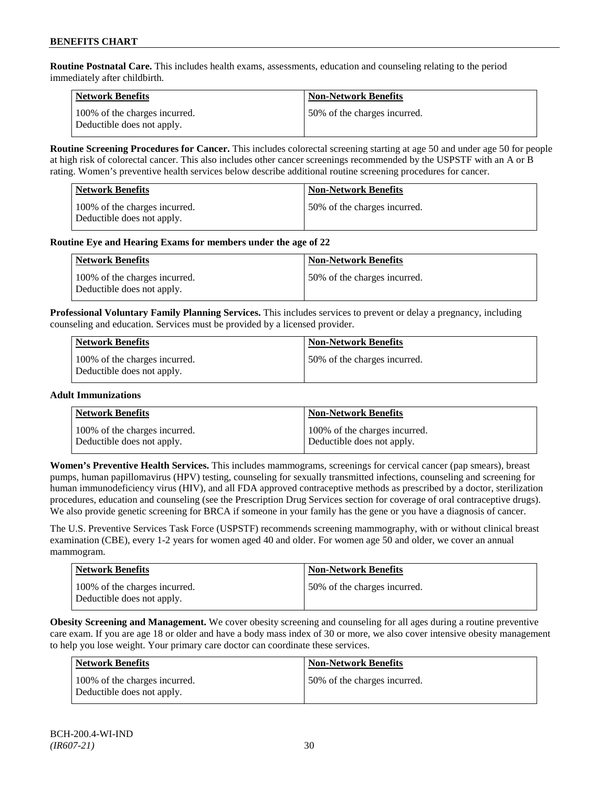**Routine Postnatal Care.** This includes health exams, assessments, education and counseling relating to the period immediately after childbirth.

| <b>Network Benefits</b>                                     | <b>Non-Network Benefits</b>  |
|-------------------------------------------------------------|------------------------------|
| 100% of the charges incurred.<br>Deductible does not apply. | 50% of the charges incurred. |

**Routine Screening Procedures for Cancer.** This includes colorectal screening starting at age 50 and under age 50 for people at high risk of colorectal cancer. This also includes other cancer screenings recommended by the USPSTF with an A or B rating. Women's preventive health services below describe additional routine screening procedures for cancer.

| <b>Network Benefits</b>                                     | Non-Network Benefits          |
|-------------------------------------------------------------|-------------------------------|
| 100% of the charges incurred.<br>Deductible does not apply. | 150% of the charges incurred. |

### **Routine Eye and Hearing Exams for members under the age of 22**

| Network Benefits                                            | <b>Non-Network Benefits</b>  |
|-------------------------------------------------------------|------------------------------|
| 100% of the charges incurred.<br>Deductible does not apply. | 50% of the charges incurred. |

**Professional Voluntary Family Planning Services.** This includes services to prevent or delay a pregnancy, including counseling and education. Services must be provided by a licensed provider.

| <b>Network Benefits</b>                                     | <b>Non-Network Benefits</b>  |
|-------------------------------------------------------------|------------------------------|
| 100% of the charges incurred.<br>Deductible does not apply. | 50% of the charges incurred. |

#### **Adult Immunizations**

| <b>Network Benefits</b>       | <b>Non-Network Benefits</b>   |
|-------------------------------|-------------------------------|
| 100% of the charges incurred. | 100% of the charges incurred. |
| Deductible does not apply.    | Deductible does not apply.    |

**Women's Preventive Health Services.** This includes mammograms, screenings for cervical cancer (pap smears), breast pumps, human papillomavirus (HPV) testing, counseling for sexually transmitted infections, counseling and screening for human immunodeficiency virus (HIV), and all FDA approved contraceptive methods as prescribed by a doctor, sterilization procedures, education and counseling (see the Prescription Drug Services section for coverage of oral contraceptive drugs). We also provide genetic screening for BRCA if someone in your family has the gene or you have a diagnosis of cancer.

The U.S. Preventive Services Task Force (USPSTF) recommends screening mammography, with or without clinical breast examination (CBE), every 1-2 years for women aged 40 and older. For women age 50 and older, we cover an annual mammogram.

| Network Benefits                                            | <b>Non-Network Benefits</b>  |
|-------------------------------------------------------------|------------------------------|
| 100% of the charges incurred.<br>Deductible does not apply. | 50% of the charges incurred. |

**Obesity Screening and Management.** We cover obesity screening and counseling for all ages during a routine preventive care exam. If you are age 18 or older and have a body mass index of 30 or more, we also cover intensive obesity management to help you lose weight. Your primary care doctor can coordinate these services.

| <b>Network Benefits</b>                                     | <b>Non-Network Benefits</b>  |
|-------------------------------------------------------------|------------------------------|
| 100% of the charges incurred.<br>Deductible does not apply. | 50% of the charges incurred. |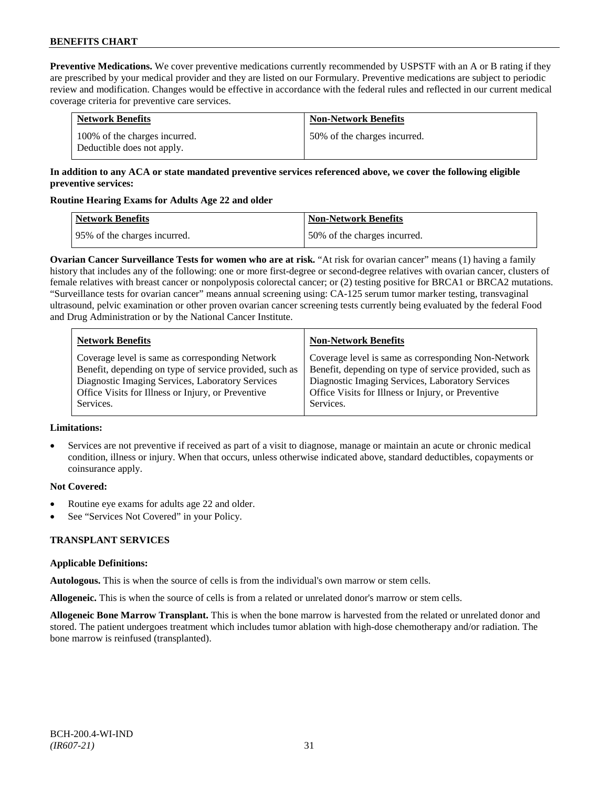**Preventive Medications.** We cover preventive medications currently recommended by USPSTF with an A or B rating if they are prescribed by your medical provider and they are listed on our Formulary. Preventive medications are subject to periodic review and modification. Changes would be effective in accordance with the federal rules and reflected in our current medical coverage criteria for preventive care services.

| <b>Network Benefits</b>                                     | <b>Non-Network Benefits</b>  |
|-------------------------------------------------------------|------------------------------|
| 100% of the charges incurred.<br>Deductible does not apply. | 50% of the charges incurred. |

# **In addition to any ACA or state mandated preventive services referenced above, we cover the following eligible preventive services:**

# **Routine Hearing Exams for Adults Age 22 and older**

| Network Benefits             | <b>Non-Network Benefits</b>  |
|------------------------------|------------------------------|
| 95% of the charges incurred. | 50% of the charges incurred. |

**Ovarian Cancer Surveillance Tests for women who are at risk.** "At risk for ovarian cancer" means (1) having a family history that includes any of the following: one or more first-degree or second-degree relatives with ovarian cancer, clusters of female relatives with breast cancer or nonpolyposis colorectal cancer; or (2) testing positive for BRCA1 or BRCA2 mutations. "Surveillance tests for ovarian cancer" means annual screening using: CA-125 serum tumor marker testing, transvaginal ultrasound, pelvic examination or other proven ovarian cancer screening tests currently being evaluated by the federal Food and Drug Administration or by the National Cancer Institute.

| <b>Network Benefits</b>                                 | <b>Non-Network Benefits</b>                             |
|---------------------------------------------------------|---------------------------------------------------------|
| Coverage level is same as corresponding Network         | Coverage level is same as corresponding Non-Network     |
| Benefit, depending on type of service provided, such as | Benefit, depending on type of service provided, such as |
| Diagnostic Imaging Services, Laboratory Services        | Diagnostic Imaging Services, Laboratory Services        |
| Office Visits for Illness or Injury, or Preventive      | Office Visits for Illness or Injury, or Preventive      |
| Services.                                               | Services.                                               |

# **Limitations:**

• Services are not preventive if received as part of a visit to diagnose, manage or maintain an acute or chronic medical condition, illness or injury. When that occurs, unless otherwise indicated above, standard deductibles, copayments or coinsurance apply.

# **Not Covered:**

- Routine eye exams for adults age 22 and older.
- See "Services Not Covered" in your Policy.

# **TRANSPLANT SERVICES**

# **Applicable Definitions:**

**Autologous.** This is when the source of cells is from the individual's own marrow or stem cells.

**Allogeneic.** This is when the source of cells is from a related or unrelated donor's marrow or stem cells.

**Allogeneic Bone Marrow Transplant.** This is when the bone marrow is harvested from the related or unrelated donor and stored. The patient undergoes treatment which includes tumor ablation with high-dose chemotherapy and/or radiation. The bone marrow is reinfused (transplanted).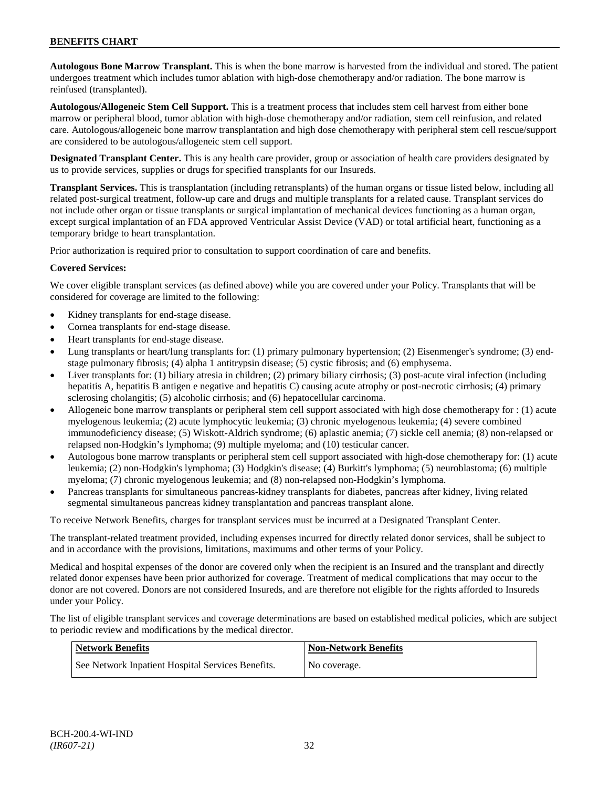**Autologous Bone Marrow Transplant.** This is when the bone marrow is harvested from the individual and stored. The patient undergoes treatment which includes tumor ablation with high-dose chemotherapy and/or radiation. The bone marrow is reinfused (transplanted).

**Autologous/Allogeneic Stem Cell Support.** This is a treatment process that includes stem cell harvest from either bone marrow or peripheral blood, tumor ablation with high-dose chemotherapy and/or radiation, stem cell reinfusion, and related care. Autologous/allogeneic bone marrow transplantation and high dose chemotherapy with peripheral stem cell rescue/support are considered to be autologous/allogeneic stem cell support.

**Designated Transplant Center.** This is any health care provider, group or association of health care providers designated by us to provide services, supplies or drugs for specified transplants for our Insureds.

**Transplant Services.** This is transplantation (including retransplants) of the human organs or tissue listed below, including all related post-surgical treatment, follow-up care and drugs and multiple transplants for a related cause. Transplant services do not include other organ or tissue transplants or surgical implantation of mechanical devices functioning as a human organ, except surgical implantation of an FDA approved Ventricular Assist Device (VAD) or total artificial heart, functioning as a temporary bridge to heart transplantation.

Prior authorization is required prior to consultation to support coordination of care and benefits.

# **Covered Services:**

We cover eligible transplant services (as defined above) while you are covered under your Policy. Transplants that will be considered for coverage are limited to the following:

- Kidney transplants for end-stage disease.
- Cornea transplants for end-stage disease.
- Heart transplants for end-stage disease.
- Lung transplants or heart/lung transplants for: (1) primary pulmonary hypertension; (2) Eisenmenger's syndrome; (3) endstage pulmonary fibrosis; (4) alpha 1 antitrypsin disease; (5) cystic fibrosis; and (6) emphysema.
- Liver transplants for: (1) biliary atresia in children; (2) primary biliary cirrhosis; (3) post-acute viral infection (including hepatitis A, hepatitis B antigen e negative and hepatitis C) causing acute atrophy or post-necrotic cirrhosis; (4) primary sclerosing cholangitis; (5) alcoholic cirrhosis; and (6) hepatocellular carcinoma.
- Allogeneic bone marrow transplants or peripheral stem cell support associated with high dose chemotherapy for : (1) acute myelogenous leukemia; (2) acute lymphocytic leukemia; (3) chronic myelogenous leukemia; (4) severe combined immunodeficiency disease; (5) Wiskott-Aldrich syndrome; (6) aplastic anemia; (7) sickle cell anemia; (8) non-relapsed or relapsed non-Hodgkin's lymphoma; (9) multiple myeloma; and (10) testicular cancer.
- Autologous bone marrow transplants or peripheral stem cell support associated with high-dose chemotherapy for: (1) acute leukemia; (2) non-Hodgkin's lymphoma; (3) Hodgkin's disease; (4) Burkitt's lymphoma; (5) neuroblastoma; (6) multiple myeloma; (7) chronic myelogenous leukemia; and (8) non-relapsed non-Hodgkin's lymphoma.
- Pancreas transplants for simultaneous pancreas-kidney transplants for diabetes, pancreas after kidney, living related segmental simultaneous pancreas kidney transplantation and pancreas transplant alone.

To receive Network Benefits, charges for transplant services must be incurred at a Designated Transplant Center.

The transplant-related treatment provided, including expenses incurred for directly related donor services, shall be subject to and in accordance with the provisions, limitations, maximums and other terms of your Policy.

Medical and hospital expenses of the donor are covered only when the recipient is an Insured and the transplant and directly related donor expenses have been prior authorized for coverage. Treatment of medical complications that may occur to the donor are not covered. Donors are not considered Insureds, and are therefore not eligible for the rights afforded to Insureds under your Policy.

The list of eligible transplant services and coverage determinations are based on established medical policies, which are subject to periodic review and modifications by the medical director.

| <b>Network Benefits</b>                           | <b>Non-Network Benefits</b> |
|---------------------------------------------------|-----------------------------|
| See Network Inpatient Hospital Services Benefits. | No coverage.                |